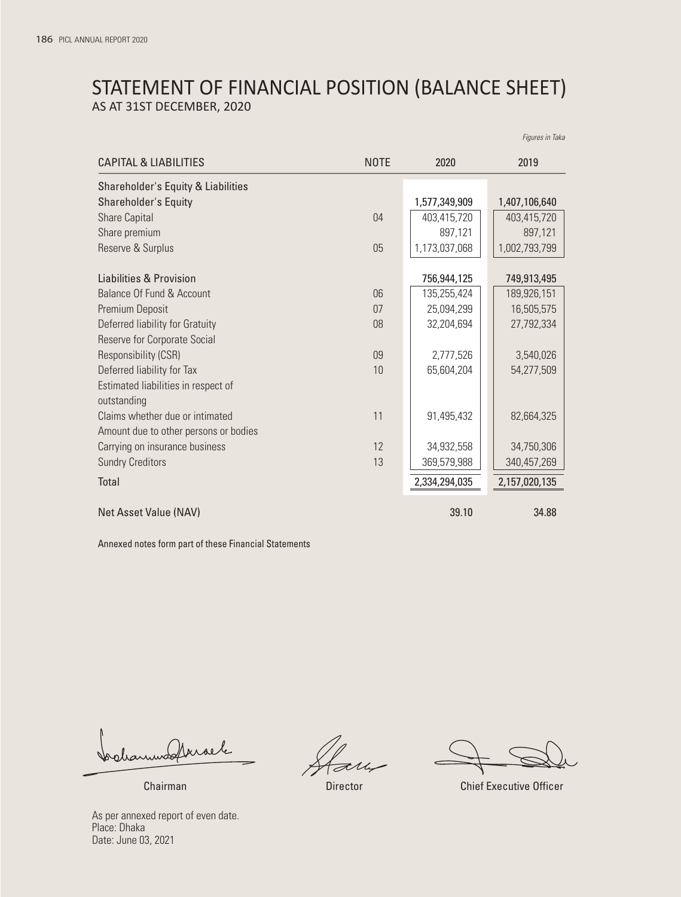# STATEMENT OF FINANCIAL POSITION (BALANCE SHEET) AS AT 31ST DECEMBER, 2020

|                                                    |             |               | Figures in Taka |
|----------------------------------------------------|-------------|---------------|-----------------|
| CAPITAL & LIABILITIES                              | <b>NOTE</b> | 2020          | 2019            |
| Shareholder's Equity & Liabilities                 |             |               |                 |
| Shareholder's Equity                               |             | 1,577,349,909 | 1,407,106,640   |
| <b>Share Capital</b>                               | 04          | 403,415,720   | 403,415,720     |
| Share premium                                      |             | 897,121       | 897,121         |
| Reserve & Surplus                                  | 05          | 1,173,037,068 | 1,002,793,799   |
| Liabilities & Provision                            |             | 756,944,125   | 749,913,495     |
| Balance Of Fund & Account                          | 06          | 135,255,424   | 189,926,151     |
| Premium Deposit                                    | 07          | 25,094,299    | 16,505,575      |
| Deferred liability for Gratuity                    | 08          | 32,204,694    | 27,792,334      |
| Reserve for Corporate Social                       |             |               |                 |
| Responsibility (CSR)                               | 09          | 2,777,526     | 3,540,026       |
| Deferred liability for Tax                         | 10          | 65,604,204    | 54,277,509      |
| Estimated liabilities in respect of<br>outstanding |             |               |                 |
| Claims whether due or intimated                    | 11          | 91,495,432    | 82,664,325      |
| Amount due to other persons or bodies              |             |               |                 |
| Carrying on insurance business                     | 12          | 34,932,558    | 34,750,306      |
| <b>Sundry Creditors</b>                            | 13          | 369,579,988   | 340,457,269     |
| <b>Total</b>                                       |             | 2,334,294,035 | 2,157,020,135   |
| Net Asset Value (NAV)                              |             | 39.10         | 34.88           |

Annexed notes form part of these Financial Statements

bolanmodtrisele

Chairman Director Chief Executive Officer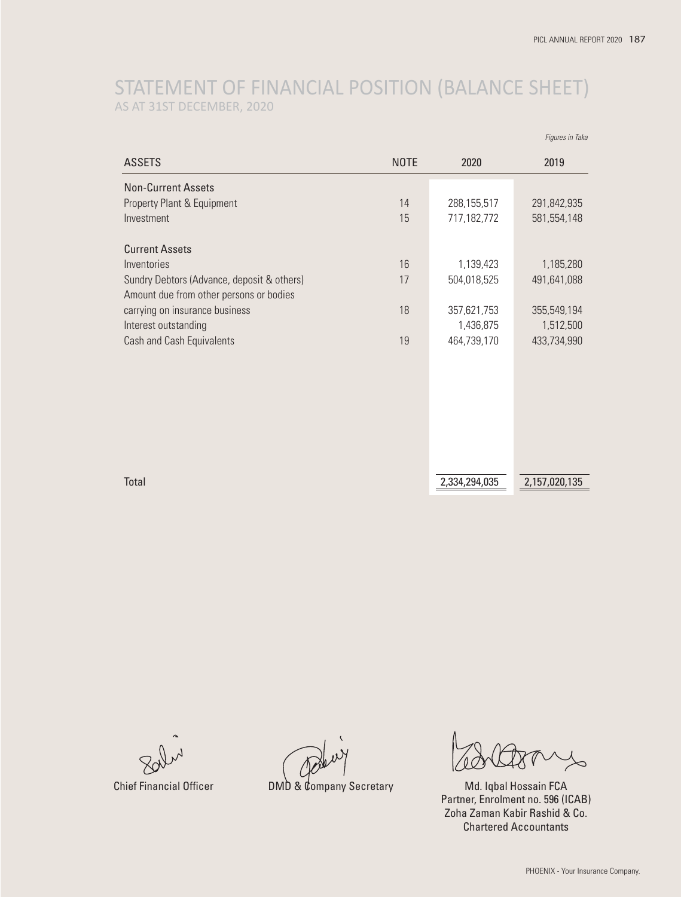# STATEMENT OF FINANCIAL POSITION (BALANCE SHEET) AS AT 31ST DECEMBER, 2020

|                                            |             |               | Figures in Taka |
|--------------------------------------------|-------------|---------------|-----------------|
| <b>ASSETS</b>                              | <b>NOTE</b> | 2020          | 2019            |
| <b>Non-Current Assets</b>                  |             |               |                 |
| Property Plant & Equipment                 | 14          | 288,155,517   | 291,842,935     |
| Investment                                 | 15          | 717,182,772   | 581,554,148     |
| <b>Current Assets</b>                      |             |               |                 |
| Inventories                                | 16          | 1,139,423     | 1,185,280       |
| Sundry Debtors (Advance, deposit & others) | 17          | 504,018,525   | 491,641,088     |
| Amount due from other persons or bodies    |             |               |                 |
| carrying on insurance business             | 18          | 357,621,753   | 355,549,194     |
| Interest outstanding                       |             | 1,436,875     | 1,512,500       |
| Cash and Cash Equivalents                  | 19          | 464,739,170   | 433,734,990     |
|                                            |             |               |                 |
|                                            |             |               |                 |
|                                            |             |               |                 |
|                                            |             |               |                 |
|                                            |             |               |                 |
|                                            |             |               |                 |
|                                            |             |               |                 |
| Total                                      |             | 2,334,294,035 | 2,157,020,135   |
|                                            |             |               |                 |

Chief Financial Officer **DMD & Company Secretary** Md. Iqbal Hossain FCA

Partner, Enrolment no. 596 (ICAB) Zoha Zaman Kabir Rashid & Co. Chartered Accountants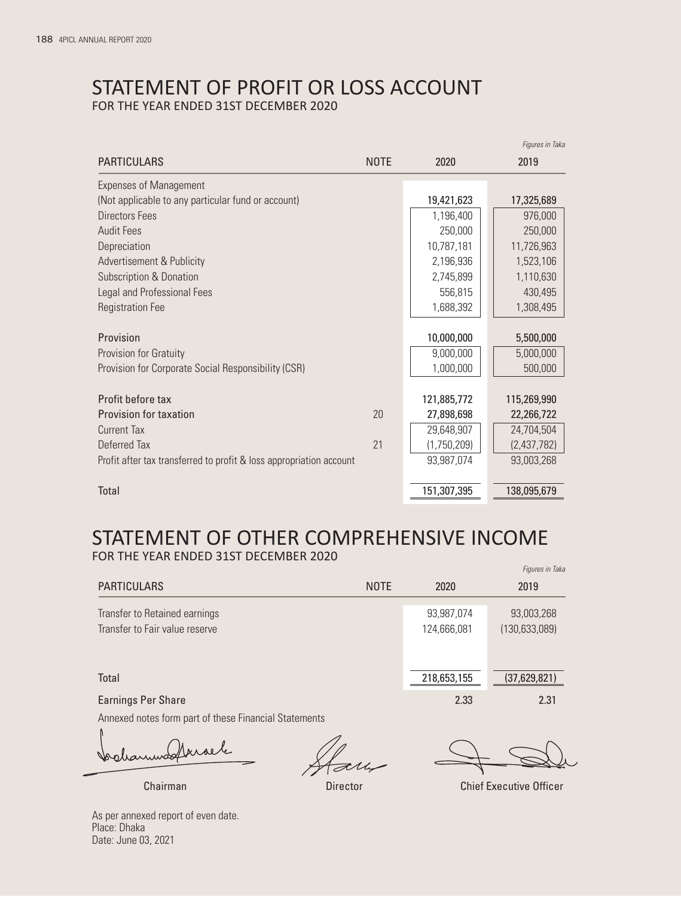# STATEMENT OF PROFIT OR LOSS ACCOUNT FOR THE YEAR ENDED 31ST DECEMBER 2020

|                                                                     |             |             | i iyurcə ili tana |
|---------------------------------------------------------------------|-------------|-------------|-------------------|
| <b>PARTICULARS</b>                                                  | <b>NOTE</b> | 2020        | 2019              |
| <b>Expenses of Management</b>                                       |             |             |                   |
| (Not applicable to any particular fund or account)                  |             | 19,421,623  | 17,325,689        |
| <b>Directors Fees</b>                                               |             | 1,196,400   | 976,000           |
| <b>Audit Fees</b>                                                   |             | 250,000     | 250,000           |
| Depreciation                                                        |             | 10,787,181  | 11,726,963        |
| Advertisement & Publicity                                           |             | 2,196,936   | 1,523,106         |
| <b>Subscription &amp; Donation</b>                                  |             | 2,745,899   | 1,110,630         |
| Legal and Professional Fees                                         |             | 556,815     | 430,495           |
| <b>Registration Fee</b>                                             |             | 1,688,392   | 1,308,495         |
|                                                                     |             |             |                   |
| Provision                                                           |             | 10,000,000  | 5,500,000         |
| Provision for Gratuity                                              |             | 9,000,000   | 5,000,000         |
| Provision for Corporate Social Responsibility (CSR)                 |             | 1,000,000   | 500,000           |
| Profit before tax                                                   |             | 121,885,772 | 115,269,990       |
| <b>Provision for taxation</b>                                       | 20          | 27,898,698  | 22,266,722        |
| <b>Current Tax</b>                                                  |             | 29,648,907  | 24,704,504        |
| Deferred Tax                                                        | 21          | (1,750,209) | (2,437,782)       |
| Profit after tax transferred to profit & loss appropriation account |             | 93,987,074  | 93,003,268        |
| Total                                                               |             | 151,307,395 | 138,095,679       |
|                                                                     |             |             |                   |

### STATEMENT OF OTHER COMPREHENSIVE INCOME FOR THE YEAR ENDED 31ST DECEMBER 2020 *Figures in Taka*

|                                |             |             | 119010011110100 |
|--------------------------------|-------------|-------------|-----------------|
| <b>PARTICULARS</b>             | <b>NOTE</b> | 2020        | 2019            |
| Transfer to Retained earnings  |             | 93,987,074  | 93,003,268      |
| Transfer to Fair value reserve |             | 124,666,081 | (130, 633, 089) |
|                                |             |             |                 |
| Total                          |             | 218,653,155 | (37,629,821)    |
| <b>Earnings Per Share</b>      |             | 2.33        | 2.31            |
|                                |             |             |                 |

Annexed notes form part of these Financial Statements

Irraele fooliaruuss

*Figures in Taka*

Chairman Director Chief Executive Officer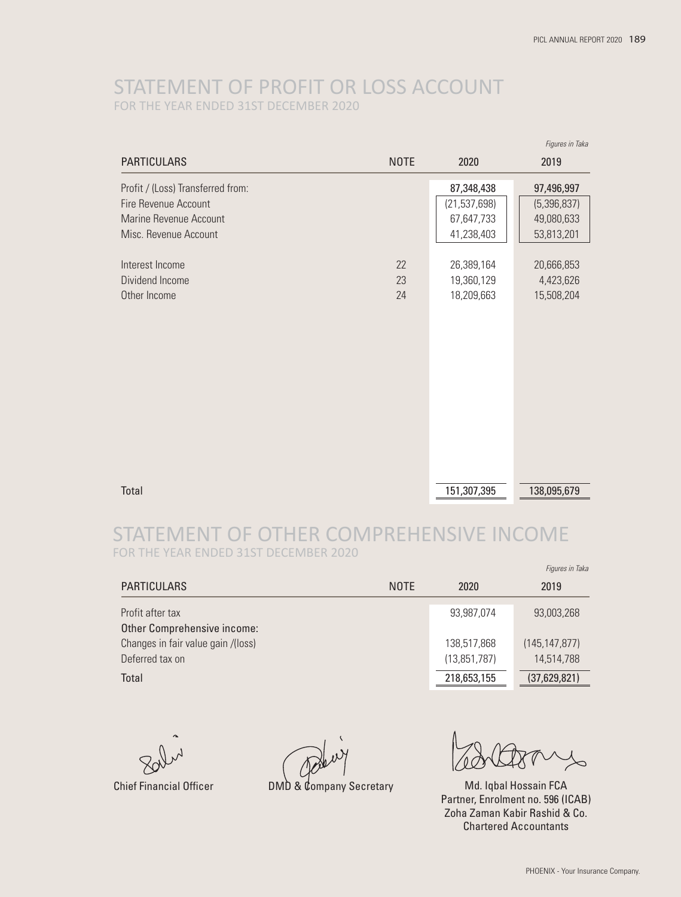# STATEMENT OF PROFIT OR LOSS ACCOUNT FOR THE YEAR ENDED 31ST DECEMBER 2020

|                                                                                                                     |                |                                                          | Figures in Taka                                       |
|---------------------------------------------------------------------------------------------------------------------|----------------|----------------------------------------------------------|-------------------------------------------------------|
| <b>PARTICULARS</b>                                                                                                  | <b>NOTE</b>    | 2020                                                     | 2019                                                  |
| Profit / (Loss) Transferred from:<br><b>Fire Revenue Account</b><br>Marine Revenue Account<br>Misc. Revenue Account |                | 87,348,438<br>(21, 537, 698)<br>67,647,733<br>41,238,403 | 97,496,997<br>(5,396,837)<br>49,080,633<br>53,813,201 |
| Interest Income<br>Dividend Income<br>Other Income                                                                  | 22<br>23<br>24 | 26,389,164<br>19,360,129<br>18,209,663                   | 20,666,853<br>4,423,626<br>15,508,204                 |
| Total                                                                                                               |                | 151,307,395                                              | 138,095,679                                           |

# STATEMENT OF OTHER COMPREHENSIVE INCOME FOR THE YEAR ENDED 31ST DECEMBER 2020

|                                                       |             |                             | Figures in Taka               |
|-------------------------------------------------------|-------------|-----------------------------|-------------------------------|
| <b>PARTICULARS</b>                                    | <b>NOTE</b> | 2020                        | 2019                          |
| Profit after tax<br>Other Comprehensive income:       |             | 93,987,074                  | 93,003,268                    |
| Changes in fair value gain /(loss)<br>Deferred tax on |             | 138,517,868<br>(13,851,787) | (145, 147, 877)<br>14.514.788 |
| Total                                                 |             | 218,653,155                 | (37,629,821)                  |

Chief Financial Officer **DMD & Company Secretary** Md. Iqbal Hossain FCA Partner, Enrolment no. 596 (ICAB) Zoha Zaman Kabir Rashid & Co. Chartered Accountants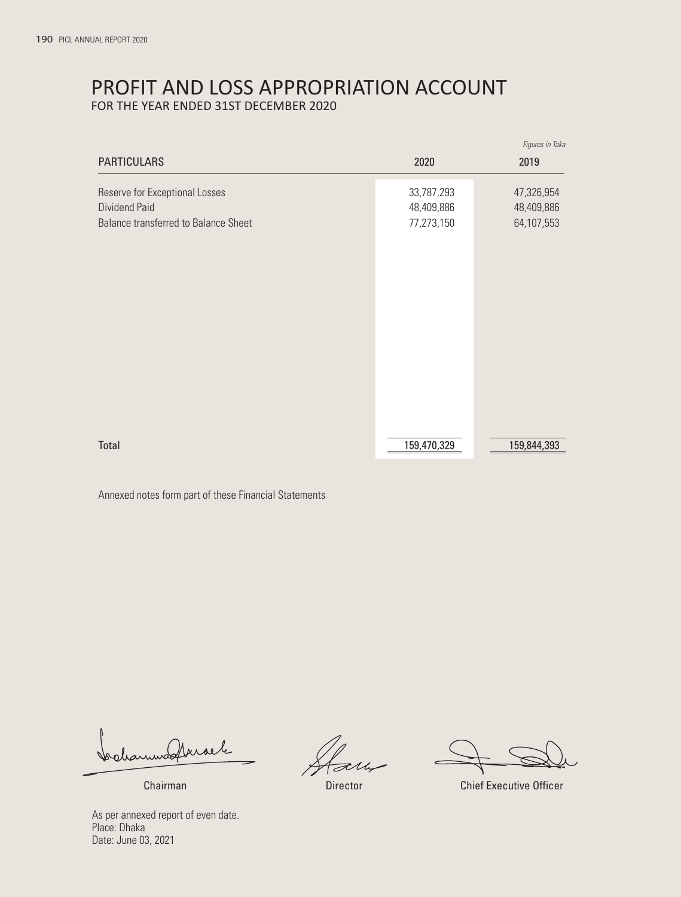# PROFIT AND LOSS APPROPRIATION ACCOUNT

FOR THE YEAR ENDED 31ST DECEMBER 2020

|                                                                                         |                                        | Figures in Taka                        |
|-----------------------------------------------------------------------------------------|----------------------------------------|----------------------------------------|
| <b>PARTICULARS</b>                                                                      | 2020                                   | 2019                                   |
| Reserve for Exceptional Losses<br>Dividend Paid<br>Balance transferred to Balance Sheet | 33,787,293<br>48,409,886<br>77,273,150 | 47,326,954<br>48,409,886<br>64,107,553 |
| Total                                                                                   | 159,470,329                            | 159,844,393                            |

Annexed notes form part of these Financial Statements

bolanmodtrisele

Chairman Director Chief Executive Officer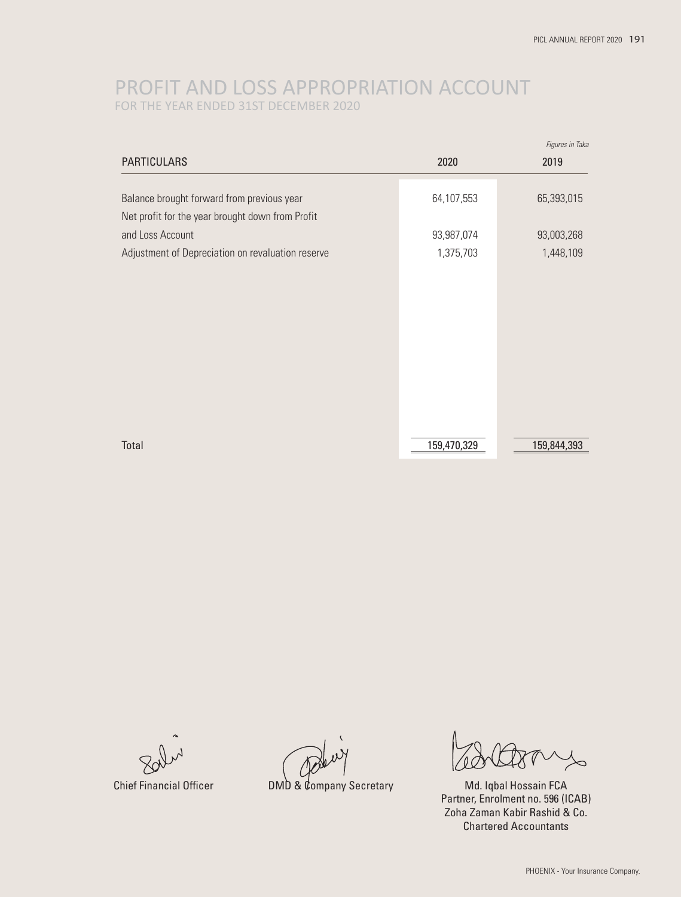# PROFIT AND LOSS APPROPRIATION ACCOUNT FOR THE YEAR ENDED 31ST DECEMBER 2020

|                                                   |             | Figures in Taka |
|---------------------------------------------------|-------------|-----------------|
| <b>PARTICULARS</b>                                | 2020        | 2019            |
|                                                   |             |                 |
| Balance brought forward from previous year        | 64,107,553  | 65,393,015      |
| Net profit for the year brought down from Profit  |             |                 |
| and Loss Account                                  | 93,987,074  | 93,003,268      |
| Adjustment of Depreciation on revaluation reserve | 1,375,703   | 1,448,109       |
|                                                   |             |                 |
|                                                   |             |                 |
|                                                   |             |                 |
|                                                   |             |                 |
|                                                   |             |                 |
|                                                   |             |                 |
|                                                   |             |                 |
|                                                   |             |                 |
|                                                   |             |                 |
|                                                   |             |                 |
| Total                                             | 159,470,329 | 159,844,393     |

Chief Financial Officer **DMD & Company Secretary** Md. Iqbal Hossain FCA Partner, Enrolment no. 596 (ICAB) Zoha Zaman Kabir Rashid & Co. Chartered Accountants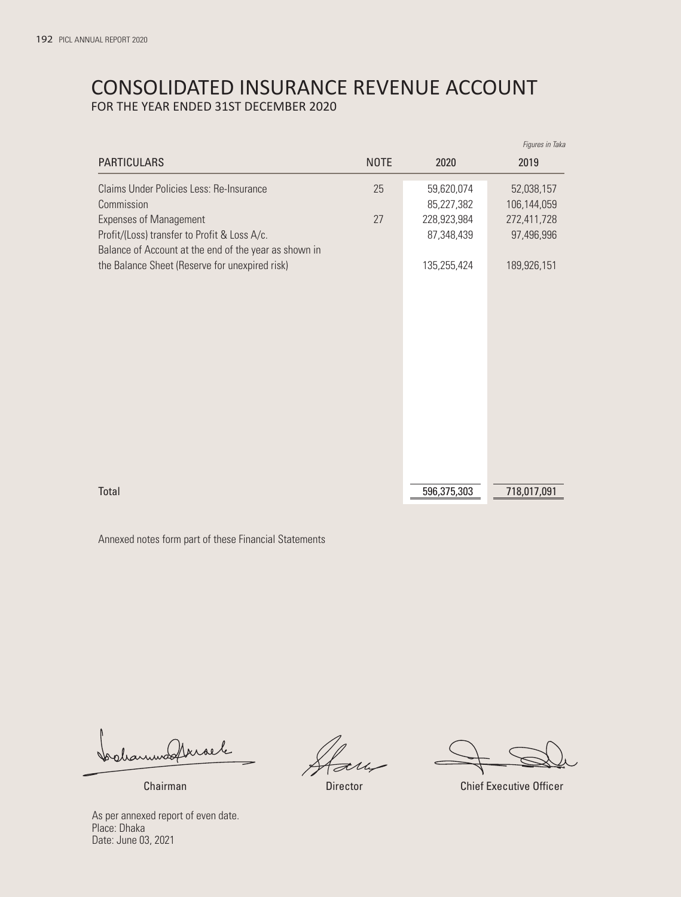# CONSOLIDATED INSURANCE REVENUE ACCOUNT FOR THE YEAR ENDED 31ST DECEMBER 2020

|                                                       |             |             | Figures in Taka |
|-------------------------------------------------------|-------------|-------------|-----------------|
| <b>PARTICULARS</b>                                    | <b>NOTE</b> | 2020        | 2019            |
| Claims Under Policies Less: Re-Insurance              | 25          | 59,620,074  | 52,038,157      |
| Commission                                            |             | 85,227,382  | 106,144,059     |
| <b>Expenses of Management</b>                         | 27          | 228,923,984 | 272,411,728     |
| Profit/(Loss) transfer to Profit & Loss A/c.          |             | 87,348,439  | 97,496,996      |
| Balance of Account at the end of the year as shown in |             |             |                 |
| the Balance Sheet (Reserve for unexpired risk)        |             | 135,255,424 | 189,926,151     |
|                                                       |             |             |                 |
|                                                       |             |             |                 |
|                                                       |             |             |                 |
|                                                       |             |             |                 |
|                                                       |             |             |                 |
|                                                       |             |             |                 |
|                                                       |             |             |                 |
|                                                       |             |             |                 |
|                                                       |             |             |                 |
|                                                       |             |             |                 |
|                                                       |             |             |                 |
|                                                       |             |             |                 |
| Total                                                 |             | 596,375,303 | 718,017,091     |
|                                                       |             |             |                 |

Annexed notes form part of these Financial Statements

bolanmodtrisele

**Director** 

**Chairman** Chairman Chief Executive Officer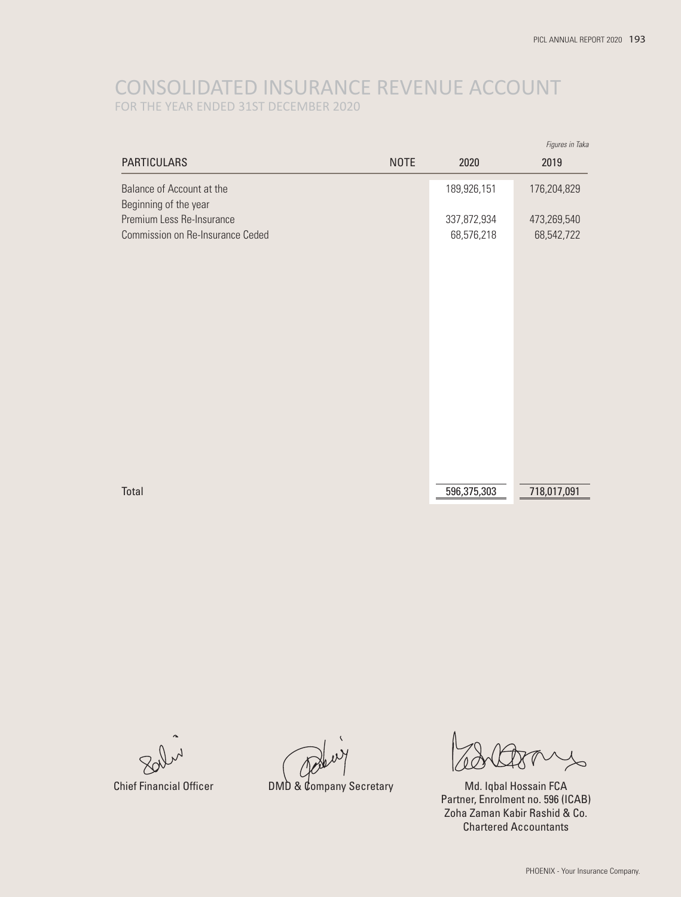# CONSOLIDATED INSURANCE REVENUE ACCOUNT FOR THE YEAR ENDED 31ST DECEMBER 2020

|                                                               |             |                           | Figures in Taka           |
|---------------------------------------------------------------|-------------|---------------------------|---------------------------|
| <b>PARTICULARS</b>                                            | <b>NOTE</b> | 2020                      | 2019                      |
| Balance of Account at the<br>Beginning of the year            |             | 189,926,151               | 176,204,829               |
| Premium Less Re-Insurance<br>Commission on Re-Insurance Ceded |             | 337,872,934<br>68,576,218 | 473,269,540<br>68,542,722 |
|                                                               |             |                           |                           |
|                                                               |             |                           |                           |
|                                                               |             |                           |                           |
|                                                               |             |                           |                           |
|                                                               |             |                           |                           |
|                                                               |             |                           |                           |
|                                                               |             |                           |                           |
|                                                               |             |                           |                           |
| Total                                                         |             | 596,375,303               | 718,017,091               |

Chief Financial Officer DMD & Company Secretary

Md. Iqbal Hossain FCA Partner, Enrolment no. 596 (ICAB) Zoha Zaman Kabir Rashid & Co. Chartered Accountants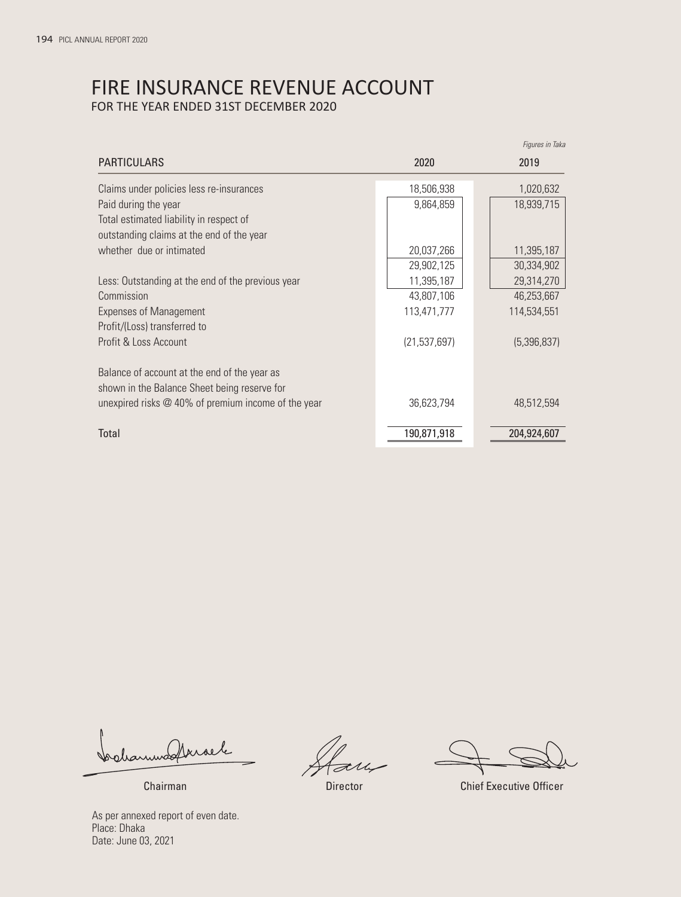# FIRE INSURANCE REVENUE ACCOUNT FOR THE YEAR ENDED 31ST DECEMBER 2020

|                                                       |                | riyules III laka |
|-------------------------------------------------------|----------------|------------------|
| <b>PARTICULARS</b>                                    | 2020           | 2019             |
| Claims under policies less re-insurances              | 18,506,938     | 1,020,632        |
| Paid during the year                                  | 9,864,859      | 18,939,715       |
| Total estimated liability in respect of               |                |                  |
| outstanding claims at the end of the year             |                |                  |
| whether due or intimated                              | 20,037,266     | 11,395,187       |
|                                                       | 29,902,125     | 30,334,902       |
| Less: Outstanding at the end of the previous year     | 11,395,187     | 29,314,270       |
| Commission                                            | 43,807,106     | 46,253,667       |
| <b>Expenses of Management</b>                         | 113,471,777    | 114,534,551      |
| Profit/(Loss) transferred to                          |                |                  |
| Profit & Loss Account                                 | (21, 537, 697) | (5,396,837)      |
| Balance of account at the end of the year as          |                |                  |
| shown in the Balance Sheet being reserve for          |                |                  |
| unexpired risks $@$ 40% of premium income of the year | 36,623,794     | 48,512,594       |
| Total                                                 | 190,871,918    | 204,924,607      |

Colanwoodbroek

*Figures in Taka*

Chairman Director Chief Executive Officer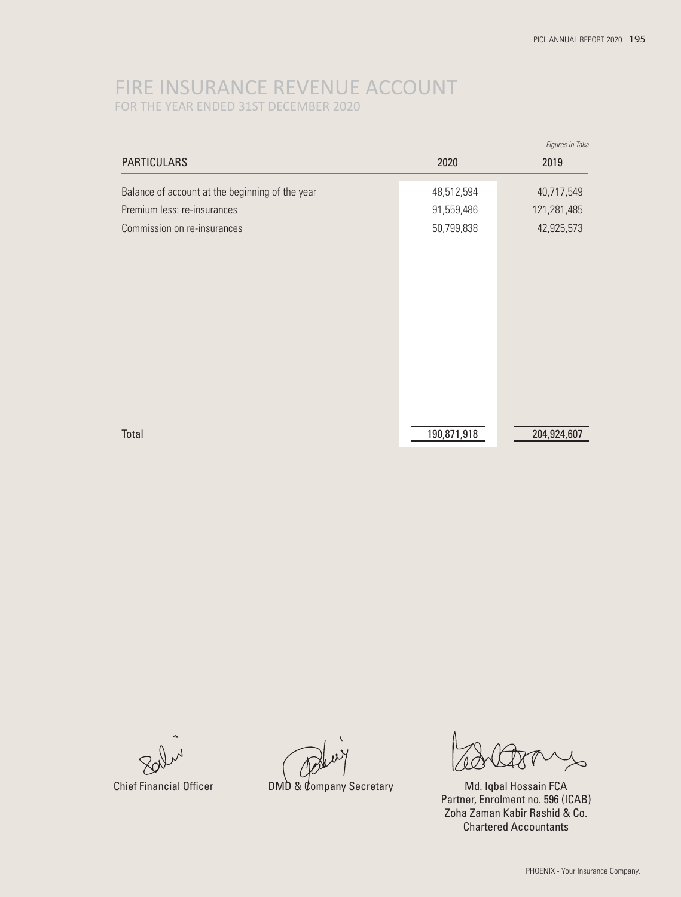# FIRE INSURANCE REVENUE ACCOUNT FOR THE YEAR ENDED 31ST DECEMBER 2020

|                                                 |             | Figures in Taka |
|-------------------------------------------------|-------------|-----------------|
| <b>PARTICULARS</b>                              | 2020        | 2019            |
| Balance of account at the beginning of the year | 48,512,594  | 40,717,549      |
| Premium less: re-insurances                     | 91,559,486  | 121,281,485     |
| Commission on re-insurances                     | 50,799,838  | 42,925,573      |
|                                                 |             |                 |
|                                                 |             |                 |
|                                                 |             |                 |
|                                                 |             |                 |
|                                                 |             |                 |
|                                                 |             |                 |
|                                                 |             |                 |
|                                                 |             |                 |
|                                                 |             |                 |
| Total                                           | 190,871,918 | 204,924,607     |

Chief Financial Officer **DMD & Company Secretary** Md. Iqbal Hossain FCA

Partner, Enrolment no. 596 (ICAB) Zoha Zaman Kabir Rashid & Co. Chartered Accountants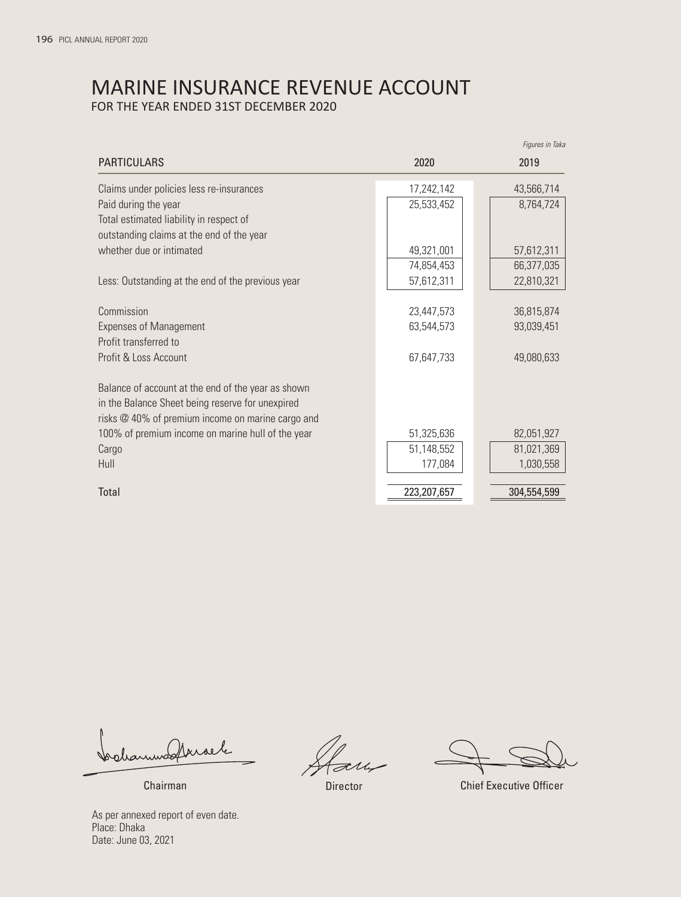# MARINE INSURANCE REVENUE ACCOUNT FOR THE YEAR ENDED 31ST DECEMBER 2020

|                                                    |             | riyules III laka |
|----------------------------------------------------|-------------|------------------|
| <b>PARTICULARS</b>                                 | 2020        | 2019             |
| Claims under policies less re-insurances           | 17,242,142  | 43,566,714       |
| Paid during the year                               | 25,533,452  | 8,764,724        |
| Total estimated liability in respect of            |             |                  |
| outstanding claims at the end of the year          |             |                  |
| whether due or intimated                           | 49,321,001  | 57,612,311       |
|                                                    | 74,854,453  | 66,377,035       |
| Less: Outstanding at the end of the previous year  | 57,612,311  | 22,810,321       |
|                                                    |             |                  |
| Commission                                         | 23,447,573  | 36,815,874       |
| <b>Expenses of Management</b>                      | 63,544,573  | 93,039,451       |
| Profit transferred to                              |             |                  |
| Profit & Loss Account                              | 67,647,733  | 49,080,633       |
| Balance of account at the end of the year as shown |             |                  |
| in the Balance Sheet being reserve for unexpired   |             |                  |
| risks @ 40% of premium income on marine cargo and  |             |                  |
| 100% of premium income on marine hull of the year  | 51,325,636  | 82,051,927       |
| Cargo                                              | 51,148,552  | 81,021,369       |
| Hull                                               | 177,084     | 1,030,558        |
|                                                    |             |                  |
| Total                                              | 223,207,657 | 304,554,599      |
|                                                    |             |                  |

Colanwoodbroek

*Figures in Taka*

Chairman Director Chief Executive Officer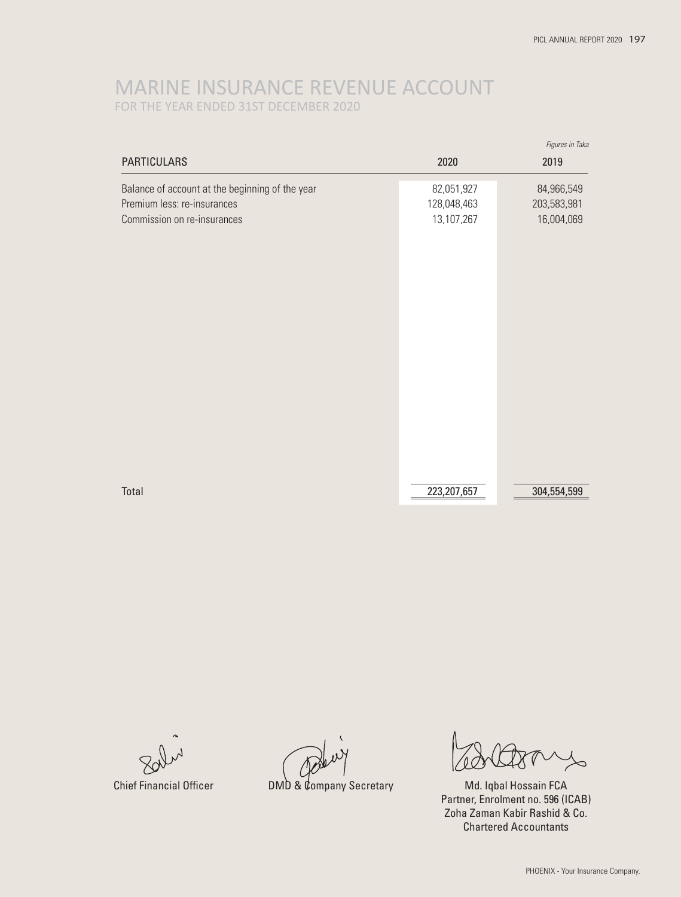# MARINE INSURANCE REVENUE ACCOUNT FOR THE YEAR ENDED 31ST DECEMBER 2020

|                                                 |             | Figures in Taka |
|-------------------------------------------------|-------------|-----------------|
| <b>PARTICULARS</b>                              | 2020        | 2019            |
| Balance of account at the beginning of the year | 82,051,927  | 84,966,549      |
| Premium less: re-insurances                     | 128,048,463 | 203,583,981     |
| Commission on re-insurances                     | 13,107,267  | 16,004,069      |
|                                                 |             |                 |
|                                                 |             |                 |
|                                                 |             |                 |
|                                                 |             |                 |
|                                                 |             |                 |
|                                                 |             |                 |
|                                                 |             |                 |
|                                                 |             |                 |
|                                                 |             |                 |
|                                                 |             |                 |
|                                                 |             |                 |
|                                                 |             |                 |
|                                                 |             |                 |
| Total                                           | 223,207,657 | 304,554,599     |

Chief Financial Officer **DMD & Company Secretary** Md. Iqbal Hossain FCA

Partner, Enrolment no. 596 (ICAB) Zoha Zaman Kabir Rashid & Co. Chartered Accountants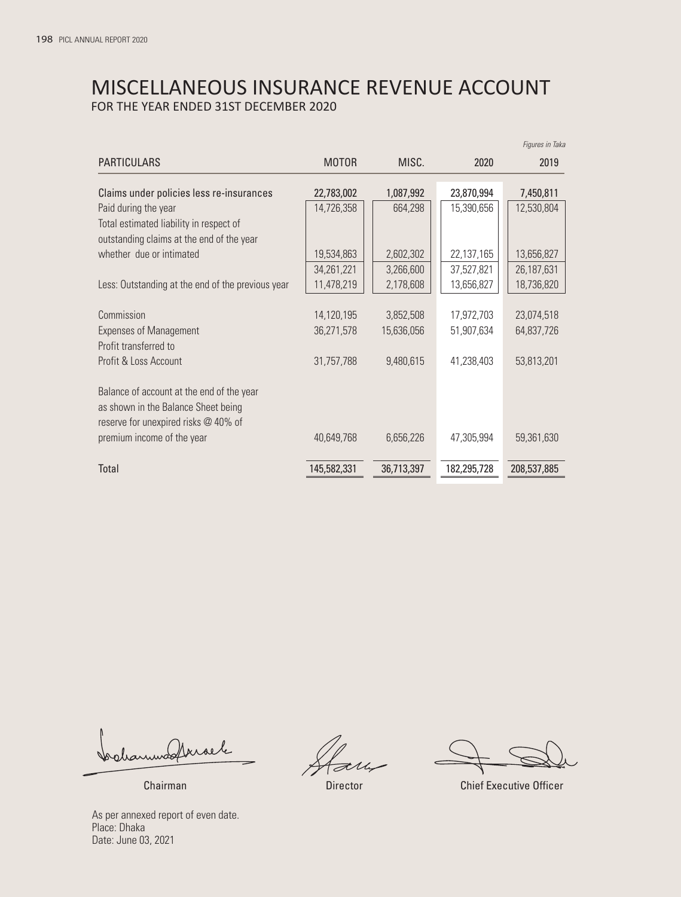# MISCELLANEOUS INSURANCE REVENUE ACCOUNT FOR THE YEAR ENDED 31ST DECEMBER 2020

|                                                                                                                          |              |            |             | Figures in Taka |
|--------------------------------------------------------------------------------------------------------------------------|--------------|------------|-------------|-----------------|
| <b>PARTICULARS</b>                                                                                                       | <b>MOTOR</b> | MISC.      | 2020        | 2019            |
| Claims under policies less re-insurances                                                                                 | 22,783,002   | 1,087,992  | 23,870,994  | 7,450,811       |
| Paid during the year                                                                                                     | 14,726,358   | 664,298    | 15,390,656  | 12,530,804      |
| Total estimated liability in respect of                                                                                  |              |            |             |                 |
| outstanding claims at the end of the year                                                                                |              |            |             |                 |
| whether due or intimated                                                                                                 | 19,534,863   | 2,602,302  | 22,137,165  | 13,656,827      |
|                                                                                                                          | 34,261,221   | 3,266,600  | 37,527,821  | 26,187,631      |
| Less: Outstanding at the end of the previous year                                                                        | 11,478,219   | 2,178,608  | 13,656,827  | 18,736,820      |
|                                                                                                                          |              |            |             |                 |
| Commission                                                                                                               | 14,120,195   | 3,852,508  | 17,972,703  | 23,074,518      |
| <b>Expenses of Management</b>                                                                                            | 36,271,578   | 15,636,056 | 51,907,634  | 64,837,726      |
| Profit transferred to                                                                                                    |              |            |             |                 |
| Profit & Loss Account                                                                                                    | 31,757,788   | 9,480,615  | 41,238,403  | 53,813,201      |
| Balance of account at the end of the year<br>as shown in the Balance Sheet being<br>reserve for unexpired risks @ 40% of |              |            |             |                 |
| premium income of the year                                                                                               | 40,649,768   | 6,656,226  | 47,305,994  | 59,361,630      |
| Total                                                                                                                    | 145,582,331  | 36,713,397 | 182,295,728 | 208,537,885     |

bolanmodtrisele

Chairman Director Chief Executive Officer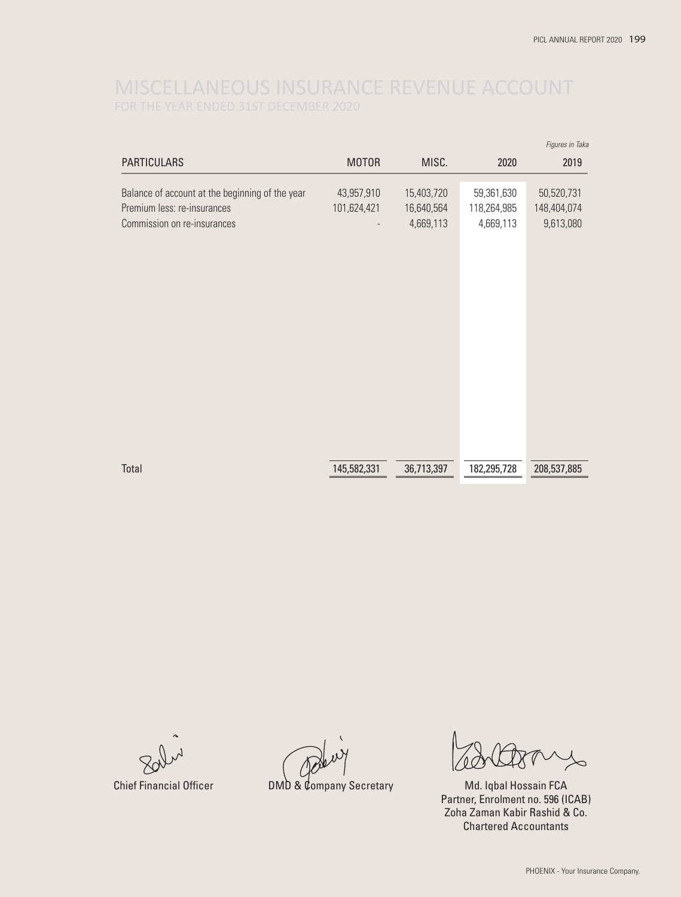|                                                                                                               |                           |                                       |                                        | Figures in Taka                        |
|---------------------------------------------------------------------------------------------------------------|---------------------------|---------------------------------------|----------------------------------------|----------------------------------------|
| <b>PARTICULARS</b>                                                                                            | <b>MOTOR</b>              | MISC.                                 | 2020                                   | 2019                                   |
| Balance of account at the beginning of the year<br>Premium less: re-insurances<br>Commission on re-insurances | 43,957,910<br>101,624,421 | 15,403,720<br>16,640,564<br>4,669,113 | 59,361,630<br>118,264,985<br>4,669,113 | 50,520,731<br>148,404,074<br>9,613,080 |
| Total                                                                                                         | 145,582,331               | 36,713,397                            | 182,295,728                            | 208,537,885                            |

Chief Financial Officer **DMD & Company Secretary** Md. Iqbal Hossain FCA

Partner, Enrolment no. 596 (ICAB) Zoha Zaman Kabir Rashid & Co. Chartered Accountants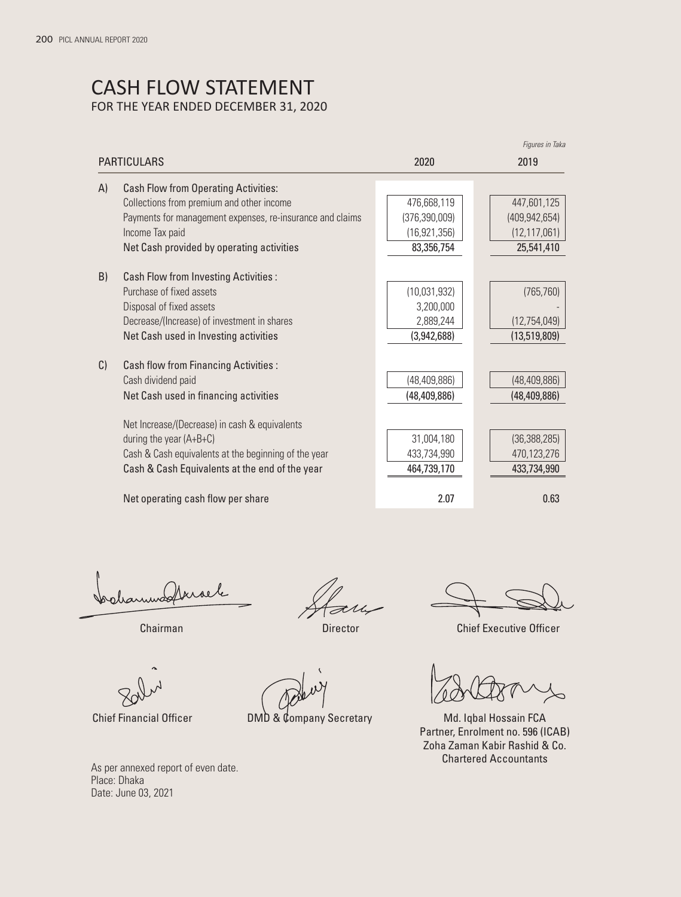# CASH FLOW STATEMENT FOR THE YEAR ENDED DECEMBER 31, 2020

|    |                                                           |                 | Figures in Taka |
|----|-----------------------------------------------------------|-----------------|-----------------|
|    | <b>PARTICULARS</b>                                        | 2020            | 2019            |
| A) | <b>Cash Flow from Operating Activities:</b>               |                 |                 |
|    | Collections from premium and other income                 | 476,668,119     | 447,601,125     |
|    | Payments for management expenses, re-insurance and claims | (376, 390, 009) | (409, 942, 654) |
|    | Income Tax paid                                           | (16, 921, 356)  | (12, 117, 061)  |
|    | Net Cash provided by operating activities                 | 83,356,754      | 25,541,410      |
| B) | <b>Cash Flow from Investing Activities:</b>               |                 |                 |
|    | Purchase of fixed assets                                  | (10,031,932)    | (765, 760)      |
|    | Disposal of fixed assets                                  | 3,200,000       |                 |
|    | Decrease/(Increase) of investment in shares               | 2,889,244       | (12,754,049)    |
|    | Net Cash used in Investing activities                     | (3,942,688)     | (13,519,809)    |
| C) | <b>Cash flow from Financing Activities:</b>               |                 |                 |
|    | Cash dividend paid                                        | (48, 409, 886)  | (48, 409, 886)  |
|    | Net Cash used in financing activities                     | (48, 409, 886)  | (48, 409, 886)  |
|    | Net Increase/(Decrease) in cash & equivalents             |                 |                 |
|    | during the year $(A+B+C)$                                 | 31,004,180      | (36, 388, 285)  |
|    | Cash & Cash equivalents at the beginning of the year      | 433,734,990     | 470,123,276     |
|    | Cash & Cash Equivalents at the end of the year            | 464,739,170     | 433,734,990     |
|    | Net operating cash flow per share                         | 2.07            | 0.63            |

drammadforsele

**Director** 

Chairman Chairman Chief Executive Officer

 $\overline{\phantom{0}}$ 

Chief Financial Officer DMD & Company Secretary Md. Iqbal Hossain FCA Partner, Enrolment no. 596 (ICAB) Zoha Zaman Kabir Rashid & Co. Chartered Accountants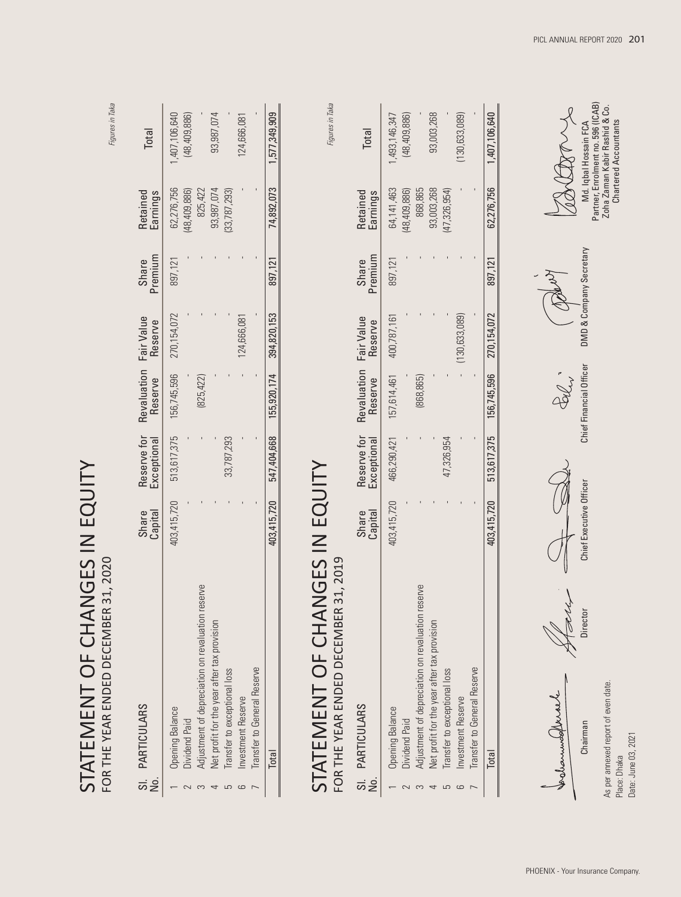| STATEMENT OF CHANGES IN EQUITY<br>31, 2020<br>FOR THE YEAR ENDED DECEMBER                                                                   |                         |                            |                           |                       |                         |                                                       | Figures in Taka                                                                                                      |
|---------------------------------------------------------------------------------------------------------------------------------------------|-------------------------|----------------------------|---------------------------|-----------------------|-------------------------|-------------------------------------------------------|----------------------------------------------------------------------------------------------------------------------|
| <b>PARTICULARS</b><br>$\vec{a}$ is                                                                                                          | Capital<br>Share        | Reserve for<br>Exceptional | Revaluation<br>Reserve    | Fair Value<br>Reserve | Premium<br>Share        | Retained<br>Earnings                                  | Total                                                                                                                |
| Adjustment of depreciation on revaluation reserve<br>Net profit for the year after tax provision<br><b>Opening Balance</b><br>Dividend Paid | 403,415,720             | 513,617,375                | 156,745,596<br>(825, 422) | 270, 154, 072         | 897,121                 | 62,276,756<br>825,422<br>93,987,074<br>(48, 409, 886) | 1,407,106,640<br>93,987,074<br>(48, 409, 886)                                                                        |
| <b>Transfer to General Reserve</b><br>Transfer to exceptional loss<br>Investment Reserve<br>S<br>$\circ$                                    |                         | 33,787,293                 |                           | 124,666,081           |                         | (33, 787, 293)                                        | 124,666,081                                                                                                          |
| Total                                                                                                                                       | 403,415,720             | 547,404,668                | 155,920,174               | 394,820,153           | 897,121                 | 74,892,073                                            | 1,577,349,909                                                                                                        |
| STATEMENT OF CHANGES IN EQUITY<br>31, 2019<br>FOR THE YEAR ENDED DECEMBER                                                                   |                         |                            |                           |                       |                         |                                                       | Figures in Taka                                                                                                      |
| <b>PARTICULARS</b><br>$\vec{\mathsf{z}}$ $\vec{\mathsf{z}}$                                                                                 | Capital<br>Share        | Reserve for<br>Exceptional | Revaluation<br>Reserve    | Fair Value<br>Reserve | Premium<br>Share        | Retained<br>Earnings                                  | <b>Total</b>                                                                                                         |
| <b>Opening Balance</b><br>Dividend Paid                                                                                                     | 403,415,720             | 466,290,421                | 157,614,461               | 400,787,161           | 897,121                 | 64,141,463<br>(48, 409, 886)                          | (48, 409, 886)<br>1,493,146,347                                                                                      |
| Adjustment of depreciation on revaluation reserve<br>Net profit for the year after tax provision<br>4<br>3                                  |                         |                            | (868, 865)                |                       |                         | 868,865<br>93,003,268                                 | 93,003,268                                                                                                           |
| Transfer to exceptional loss                                                                                                                |                         | 47,326,954                 |                           |                       |                         | (47, 326, 954)                                        |                                                                                                                      |
| Transfer to General Reserve<br>Investment Reserve<br>$\sqrt{2}$                                                                             |                         |                            |                           | (130, 633, 089)       |                         |                                                       | (130, 633, 089)                                                                                                      |
| Total                                                                                                                                       | 403,415,720             | 513,617,375                | 156,745,596               | 270,154,072           | 897,121                 | 62,276,756                                            | 1,407,106,640                                                                                                        |
| Director<br>As per annexed report of even date.<br>formunded walk<br>Chairman<br>Date: June 03, 2021<br>Place: Dhaka                        | Chief Executive Officer |                            | Chief Financial Officer   |                       | DMD & Company Secretary |                                                       | Partner, Enrolment no. 596 (ICAB)<br>Zoha Zaman Kabir Rashid & Co.<br>Chartered Accountants<br>Md. Iqbal Hossain FCA |

PICL ANNUAL REPORT 2020 **201**

PHOENIX - Your Insurance Company.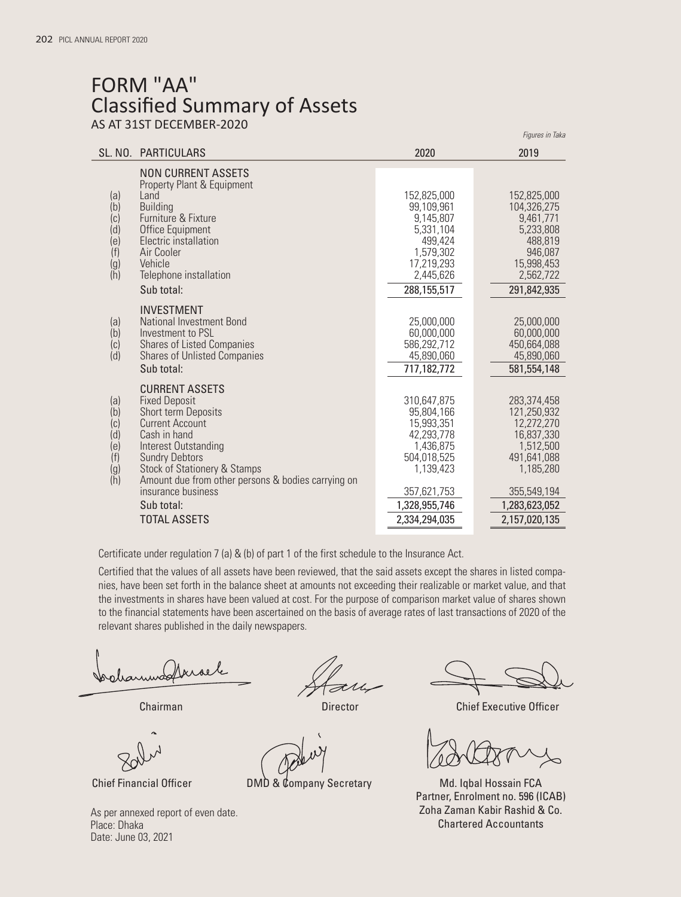# FORM "AA" Classified Summary of Assets AS AT 31ST DECEMBER-2020

|                                        |                                                                          |                              | riyures in Taka              |
|----------------------------------------|--------------------------------------------------------------------------|------------------------------|------------------------------|
|                                        | SL. NO. PARTICULARS                                                      | 2020                         | 2019                         |
|                                        | <b>NON CURRENT ASSETS</b><br>Property Plant & Equipment                  |                              |                              |
| (a)                                    | <b>l</b> and                                                             | 152,825,000                  | 152,825,000                  |
| (b)<br>(c)                             | <b>Building</b><br>Furniture & Fixture                                   | 99,109,961<br>9,145,807      | 104,326,275<br>9,461,771     |
| (d)                                    | Office Equipment                                                         | 5,331,104                    | 5,233,808                    |
| (e)                                    | Electric installation                                                    | 499,424                      | 488,819                      |
| (f)                                    | Air Cooler                                                               | 1,579,302                    | 946,087                      |
| $\begin{pmatrix} g \\ h \end{pmatrix}$ | Vehicle<br>Telephone installation                                        | 17,219,293<br>2,445,626      | 15,998,453<br>2,562,722      |
|                                        | Sub total:                                                               | 288,155,517                  | 291,842,935                  |
|                                        |                                                                          |                              |                              |
|                                        | <b>INVESTMENT</b>                                                        |                              |                              |
| (a)<br>(b)                             | <b>National Investment Bond</b><br>Investment to PSL                     | 25,000,000<br>60,000,000     | 25,000,000<br>60,000,000     |
| (c)                                    | <b>Shares of Listed Companies</b>                                        | 586.292.712                  | 450,664,088                  |
| (d)                                    | <b>Shares of Unlisted Companies</b>                                      | 45,890,060                   | 45,890,060                   |
|                                        | Sub total:                                                               | 717,182,772                  | 581, 554, 148                |
|                                        | <b>CURRENT ASSETS</b>                                                    |                              |                              |
| (a)                                    | <b>Fixed Deposit</b>                                                     | 310,647,875                  | 283,374,458                  |
| (b)                                    | <b>Short term Deposits</b>                                               | 95,804,166                   | 121,250,932                  |
| (c)                                    | <b>Current Account</b><br>Cash in hand                                   | 15,993,351                   | 12,272,270                   |
| (d)<br>(e)                             | Interest Outstanding                                                     | 42,293,778<br>1,436,875      | 16,837,330<br>1,512,500      |
| (f)                                    | <b>Sundry Debtors</b>                                                    | 504,018,525                  | 491,641,088                  |
| $(g)$<br>(h)                           | <b>Stock of Stationery &amp; Stamps</b>                                  | 1,139,423                    | 1,185,280                    |
|                                        | Amount due from other persons & bodies carrying on<br>insurance business |                              |                              |
|                                        | Sub total:                                                               | 357,621,753<br>1,328,955,746 | 355,549,194<br>1,283,623,052 |
|                                        | <b>TOTAL ASSETS</b>                                                      | 2,334,294,035                |                              |
|                                        |                                                                          |                              | 2,157,020,135                |

Certificate under regulation 7 (a) & (b) of part 1 of the first schedule to the Insurance Act.

Certified that the values of all assets have been reviewed, that the said assets except the shares in listed companies, have been set forth in the balance sheet at amounts not exceeding their realizable or market value, and that the investments in shares have been valued at cost. For the purpose of comparison market value of shares shown to the financial statements have been ascertained on the basis of average rates of last transactions of 2020 of the relevant shares published in the daily newspapers.

 $\lambda$ ghamma

**Director** 

As per annexed report of even date. Place: Dhaka Date: June 03, 2021

*Figures in Taka*

**Chairman** Chief Executive Officer Chairman Chief Executive Officer

Chief Financial Officer **DMD & Company Secretary** Md. Iqbal Hossain FCA Partner, Enrolment no. 596 (ICAB) Zoha Zaman Kabir Rashid & Co. Chartered Accountants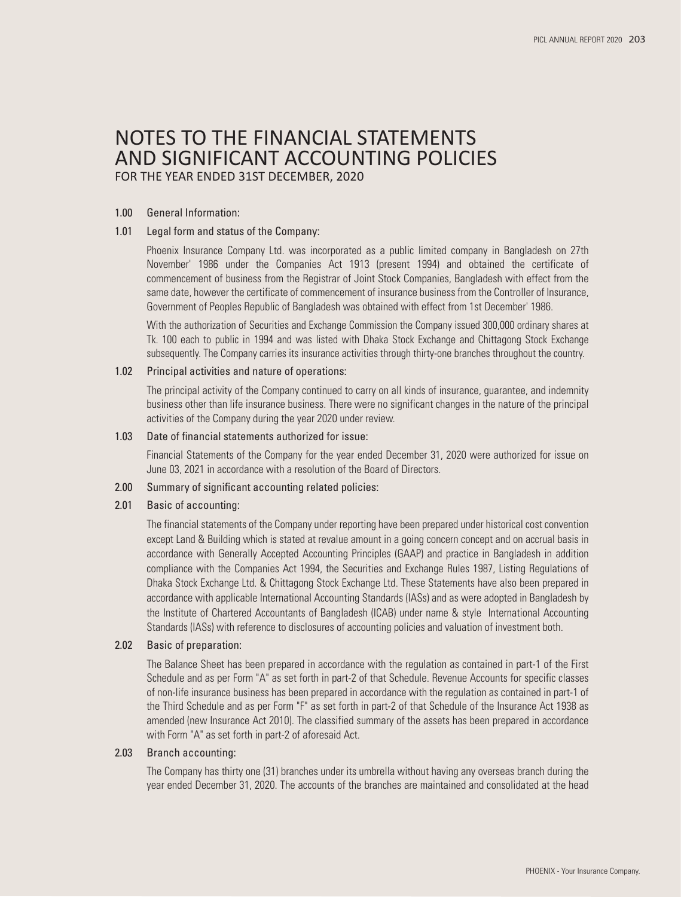# NOTES TO THE FINANCIAL STATEMENTS AND SIGNIFICANT ACCOUNTING POLICIES

FOR THE YEAR ENDED 31ST DECEMBER, 2020

#### 1.00 General Information:

#### 1.01 Legal form and status of the Company:

 Phoenix Insurance Company Ltd. was incorporated as a public limited company in Bangladesh on 27th November' 1986 under the Companies Act 1913 (present 1994) and obtained the certificate of commencement of business from the Registrar of Joint Stock Companies, Bangladesh with effect from the same date, however the certificate of commencement of insurance business from the Controller of Insurance, Government of Peoples Republic of Bangladesh was obtained with effect from 1st December' 1986.

 With the authorization of Securities and Exchange Commission the Company issued 300,000 ordinary shares at Tk. 100 each to public in 1994 and was listed with Dhaka Stock Exchange and Chittagong Stock Exchange subsequently. The Company carries its insurance activities through thirty-one branches throughout the country.

#### 1.02 Principal activities and nature of operations:

 The principal activity of the Company continued to carry on all kinds of insurance, guarantee, and indemnity business other than life insurance business. There were no significant changes in the nature of the principal activities of the Company during the year 2020 under review.

#### 1.03 Date of financial statements authorized for issue:

 Financial Statements of the Company for the year ended December 31, 2020 were authorized for issue on June 03, 2021 in accordance with a resolution of the Board of Directors.

#### 2.00 Summary of significant accounting related policies:

#### 2.01 Basic of accounting:

 The financial statements of the Company under reporting have been prepared under historical cost convention except Land & Building which is stated at revalue amount in a going concern concept and on accrual basis in accordance with Generally Accepted Accounting Principles (GAAP) and practice in Bangladesh in addition compliance with the Companies Act 1994, the Securities and Exchange Rules 1987, Listing Regulations of Dhaka Stock Exchange Ltd. & Chittagong Stock Exchange Ltd. These Statements have also been prepared in accordance with applicable International Accounting Standards (IASs) and as were adopted in Bangladesh by the Institute of Chartered Accountants of Bangladesh (ICAB) under name & style International Accounting Standards (IASs) with reference to disclosures of accounting policies and valuation of investment both.

#### 2.02 Basic of preparation:

 The Balance Sheet has been prepared in accordance with the regulation as contained in part-1 of the First Schedule and as per Form "A" as set forth in part-2 of that Schedule. Revenue Accounts for specific classes of non-life insurance business has been prepared in accordance with the regulation as contained in part-1 of the Third Schedule and as per Form "F" as set forth in part-2 of that Schedule of the Insurance Act 1938 as amended (new Insurance Act 2010). The classified summary of the assets has been prepared in accordance with Form "A" as set forth in part-2 of aforesaid Act.

#### 2.03 Branch accounting:

 The Company has thirty one (31) branches under its umbrella without having any overseas branch during the year ended December 31, 2020. The accounts of the branches are maintained and consolidated at the head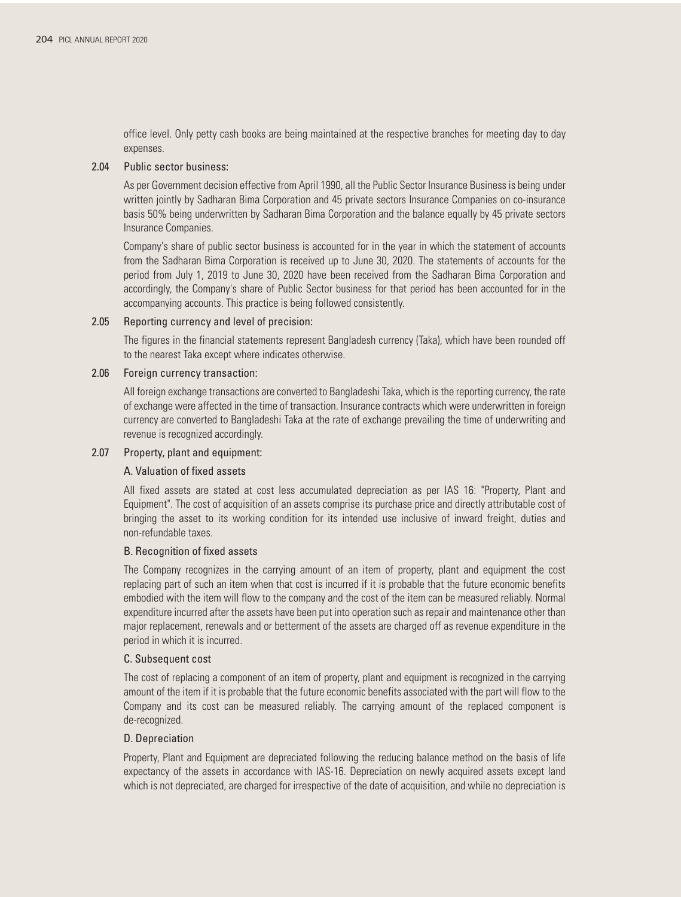office level. Only petty cash books are being maintained at the respective branches for meeting day to day expenses.

#### 2.04 Public sector business:

 As per Government decision effective from April 1990, all the Public Sector Insurance Business is being under written jointly by Sadharan Bima Corporation and 45 private sectors Insurance Companies on co-insurance basis 50% being underwritten by Sadharan Bima Corporation and the balance equally by 45 private sectors Insurance Companies.

 Company's share of public sector business is accounted for in the year in which the statement of accounts from the Sadharan Bima Corporation is received up to June 30, 2020. The statements of accounts for the period from July 1, 2019 to June 30, 2020 have been received from the Sadharan Bima Corporation and accordingly, the Company's share of Public Sector business for that period has been accounted for in the accompanying accounts. This practice is being followed consistently.

#### 2.05 Reporting currency and level of precision:

 The figures in the financial statements represent Bangladesh currency (Taka), which have been rounded off to the nearest Taka except where indicates otherwise.

#### 2.06 Foreign currency transaction:

 All foreign exchange transactions are converted to Bangladeshi Taka, which is the reporting currency, the rate of exchange were affected in the time of transaction. Insurance contracts which were underwritten in foreign currency are converted to Bangladeshi Taka at the rate of exchange prevailing the time of underwriting and revenue is recognized accordingly.

### 2.07 Property, plant and equipment:

#### A. Valuation of fixed assets

 All fixed assets are stated at cost less accumulated depreciation as per IAS 16: "Property, Plant and Equipment". The cost of acquisition of an assets comprise its purchase price and directly attributable cost of bringing the asset to its working condition for its intended use inclusive of inward freight, duties and non-refundable taxes.

#### B. Recognition of fixed assets

 The Company recognizes in the carrying amount of an item of property, plant and equipment the cost replacing part of such an item when that cost is incurred if it is probable that the future economic benefits embodied with the item will flow to the company and the cost of the item can be measured reliably. Normal expenditure incurred after the assets have been put into operation such as repair and maintenance other than major replacement, renewals and or betterment of the assets are charged off as revenue expenditure in the period in which it is incurred.

#### C. Subsequent cost

 The cost of replacing a component of an item of property, plant and equipment is recognized in the carrying amount of the item if it is probable that the future economic benefits associated with the part will flow to the Company and its cost can be measured reliably. The carrying amount of the replaced component is de-recognized.

#### D. Depreciation

 Property, Plant and Equipment are depreciated following the reducing balance method on the basis of life expectancy of the assets in accordance with IAS-16. Depreciation on newly acquired assets except land which is not depreciated, are charged for irrespective of the date of acquisition, and while no depreciation is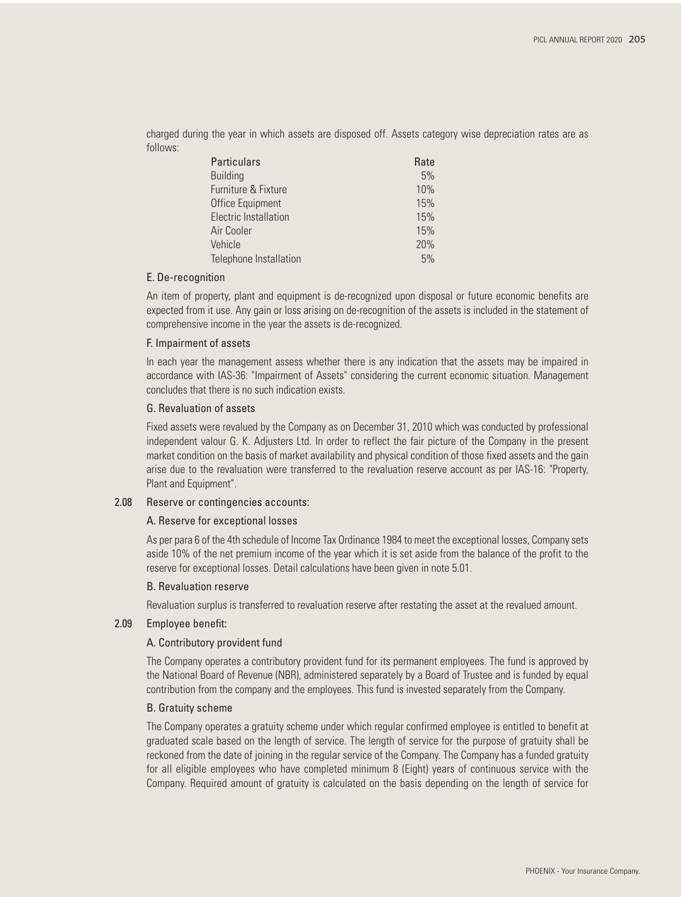charged during the year in which assets are disposed off. Assets category wise depreciation rates are as follows:

| Particulars                  | Rate |
|------------------------------|------|
| <b>Building</b>              | 5%   |
| Furniture & Fixture          | 10%  |
| Office Equipment             | 15%  |
| <b>Electric Installation</b> | 15%  |
| Air Cooler                   | 15%  |
| Vehicle                      | 20%  |
| Telephone Installation       | 5%   |

#### E. De-recognition

 An item of property, plant and equipment is de-recognized upon disposal or future economic benefits are expected from it use. Any gain or loss arising on de-recognition of the assets is included in the statement of comprehensive income in the year the assets is de-recognized.

#### F. Impairment of assets

 In each year the management assess whether there is any indication that the assets may be impaired in accordance with IAS-36: "Impairment of Assets" considering the current economic situation. Management concludes that there is no such indication exists.

#### G. Revaluation of assets

 Fixed assets were revalued by the Company as on December 31, 2010 which was conducted by professional independent valour G. K. Adjusters Ltd. In order to reflect the fair picture of the Company in the present market condition on the basis of market availability and physical condition of those fixed assets and the gain arise due to the revaluation were transferred to the revaluation reserve account as per IAS-16: "Property, Plant and Equipment".

#### 2.08 Reserve or contingencies accounts:

#### A. Reserve for exceptional losses

 As per para 6 of the 4th schedule of Income Tax Ordinance 1984 to meet the exceptional losses, Company sets aside 10% of the net premium income of the year which it is set aside from the balance of the profit to the reserve for exceptional losses. Detail calculations have been given in note 5.01.

#### B. Revaluation reserve

Revaluation surplus is transferred to revaluation reserve after restating the asset at the revalued amount.

#### 2.09 Employee benefit:

#### A. Contributory provident fund

 The Company operates a contributory provident fund for its permanent employees. The fund is approved by the National Board of Revenue (NBR), administered separately by a Board of Trustee and is funded by equal contribution from the company and the employees. This fund is invested separately from the Company.

#### B. Gratuity scheme

 The Company operates a gratuity scheme under which regular confirmed employee is entitled to benefit at graduated scale based on the length of service. The length of service for the purpose of gratuity shall be reckoned from the date of joining in the regular service of the Company. The Company has a funded gratuity for all eligible employees who have completed minimum 8 (Eight) years of continuous service with the Company. Required amount of gratuity is calculated on the basis depending on the length of service for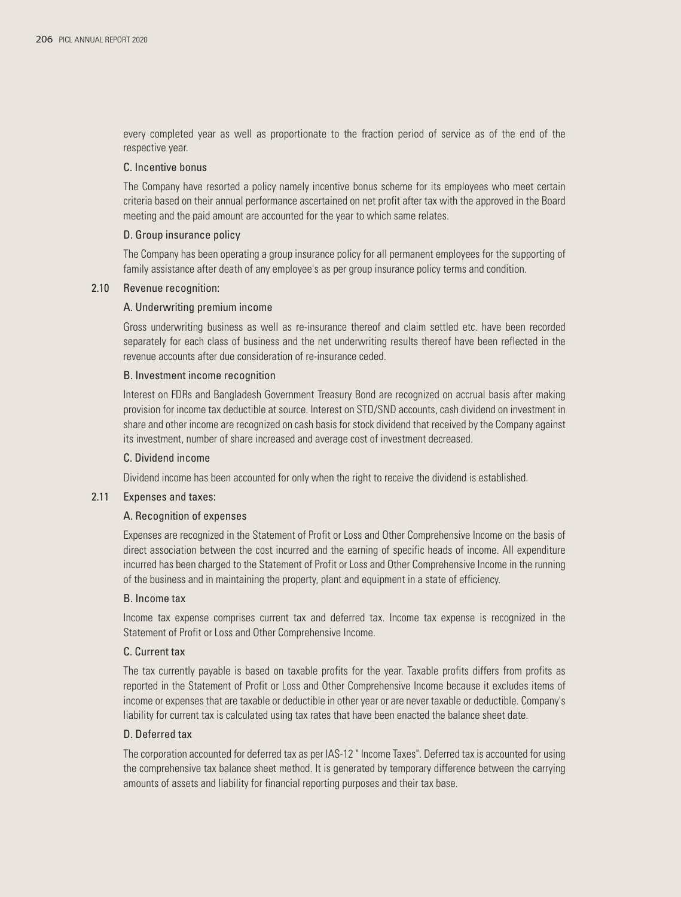every completed year as well as proportionate to the fraction period of service as of the end of the respective year.

#### C. Incentive bonus

 The Company have resorted a policy namely incentive bonus scheme for its employees who meet certain criteria based on their annual performance ascertained on net profit after tax with the approved in the Board meeting and the paid amount are accounted for the year to which same relates.

#### D. Group insurance policy

 The Company has been operating a group insurance policy for all permanent employees for the supporting of family assistance after death of any employee's as per group insurance policy terms and condition.

#### 2.10 Revenue recognition:

#### A. Underwriting premium income

 Gross underwriting business as well as re-insurance thereof and claim settled etc. have been recorded separately for each class of business and the net underwriting results thereof have been reflected in the revenue accounts after due consideration of re-insurance ceded.

#### B. Investment income recognition

 Interest on FDRs and Bangladesh Government Treasury Bond are recognized on accrual basis after making provision for income tax deductible at source. Interest on STD/SND accounts, cash dividend on investment in share and other income are recognized on cash basis for stock dividend that received by the Company against its investment, number of share increased and average cost of investment decreased.

#### C. Dividend income

Dividend income has been accounted for only when the right to receive the dividend is established.

#### 2.11 Expenses and taxes:

#### A. Recognition of expenses

 Expenses are recognized in the Statement of Profit or Loss and Other Comprehensive Income on the basis of direct association between the cost incurred and the earning of specific heads of income. All expenditure incurred has been charged to the Statement of Profit or Loss and Other Comprehensive Income in the running of the business and in maintaining the property, plant and equipment in a state of efficiency.

#### B. Income tax

 Income tax expense comprises current tax and deferred tax. Income tax expense is recognized in the Statement of Profit or Loss and Other Comprehensive Income.

#### C. Current tax

 The tax currently payable is based on taxable profits for the year. Taxable profits differs from profits as reported in the Statement of Profit or Loss and Other Comprehensive Income because it excludes items of income or expenses that are taxable or deductible in other year or are never taxable or deductible. Company's liability for current tax is calculated using tax rates that have been enacted the balance sheet date.

#### D. Deferred tax

 The corporation accounted for deferred tax as per IAS-12 " Income Taxes". Deferred tax is accounted for using the comprehensive tax balance sheet method. It is generated by temporary difference between the carrying amounts of assets and liability for financial reporting purposes and their tax base.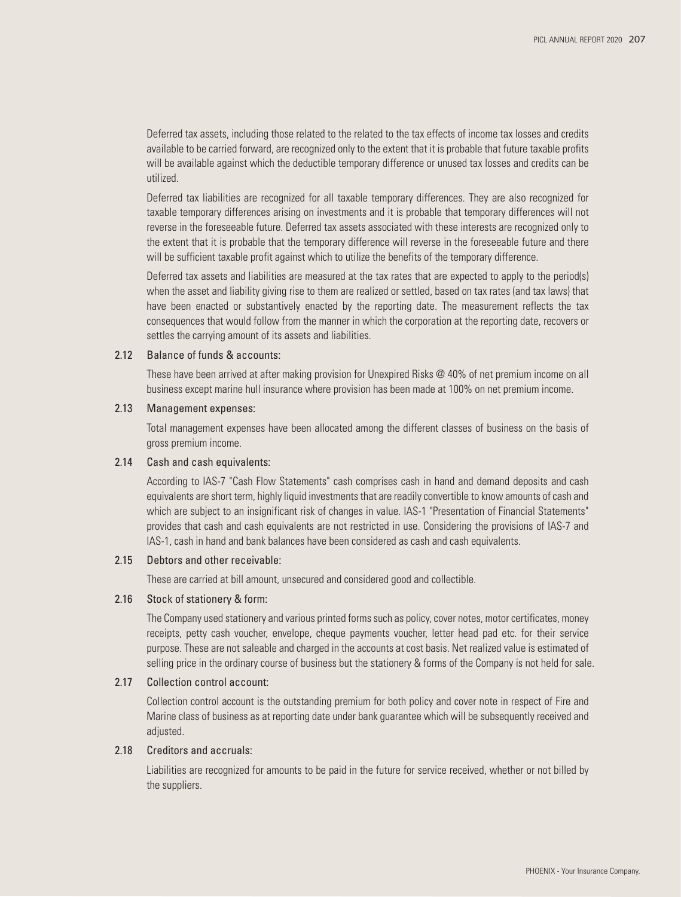Deferred tax assets, including those related to the related to the tax effects of income tax losses and credits available to be carried forward, are recognized only to the extent that it is probable that future taxable profits will be available against which the deductible temporary difference or unused tax losses and credits can be utilized.

 Deferred tax liabilities are recognized for all taxable temporary differences. They are also recognized for taxable temporary differences arising on investments and it is probable that temporary differences will not reverse in the foreseeable future. Deferred tax assets associated with these interests are recognized only to the extent that it is probable that the temporary difference will reverse in the foreseeable future and there will be sufficient taxable profit against which to utilize the benefits of the temporary difference.

 Deferred tax assets and liabilities are measured at the tax rates that are expected to apply to the period(s) when the asset and liability giving rise to them are realized or settled, based on tax rates (and tax laws) that have been enacted or substantively enacted by the reporting date. The measurement reflects the tax consequences that would follow from the manner in which the corporation at the reporting date, recovers or settles the carrying amount of its assets and liabilities.

#### 2.12 Balance of funds & accounts:

 These have been arrived at after making provision for Unexpired Risks @ 40% of net premium income on all business except marine hull insurance where provision has been made at 100% on net premium income.

#### 2.13 Management expenses:

 Total management expenses have been allocated among the different classes of business on the basis of gross premium income.

#### 2.14 Cash and cash equivalents:

 According to IAS-7 "Cash Flow Statements" cash comprises cash in hand and demand deposits and cash equivalents are short term, highly liquid investments that are readily convertible to know amounts of cash and which are subject to an insignificant risk of changes in value. IAS-1 "Presentation of Financial Statements" provides that cash and cash equivalents are not restricted in use. Considering the provisions of IAS-7 and IAS-1, cash in hand and bank balances have been considered as cash and cash equivalents.

#### 2.15 Debtors and other receivable:

These are carried at bill amount, unsecured and considered good and collectible.

#### 2.16 Stock of stationery & form:

 The Company used stationery and various printed forms such as policy, cover notes, motor certificates, money receipts, petty cash voucher, envelope, cheque payments voucher, letter head pad etc. for their service purpose. These are not saleable and charged in the accounts at cost basis. Net realized value is estimated of selling price in the ordinary course of business but the stationery & forms of the Company is not held for sale.

#### 2.17 Collection control account:

 Collection control account is the outstanding premium for both policy and cover note in respect of Fire and Marine class of business as at reporting date under bank guarantee which will be subsequently received and adjusted.

#### 2.18 Creditors and accruals:

 Liabilities are recognized for amounts to be paid in the future for service received, whether or not billed by the suppliers.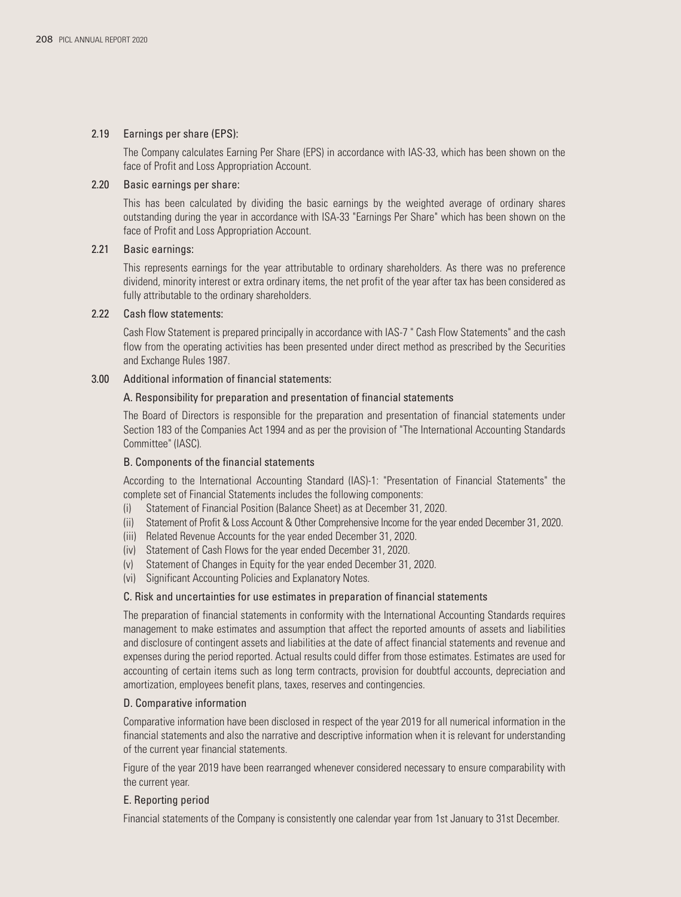#### 2.19 Earnings per share (EPS):

 The Company calculates Earning Per Share (EPS) in accordance with IAS-33, which has been shown on the face of Profit and Loss Appropriation Account.

### 2.20 Basic earnings per share:

 This has been calculated by dividing the basic earnings by the weighted average of ordinary shares outstanding during the year in accordance with ISA-33 "Earnings Per Share" which has been shown on the face of Profit and Loss Appropriation Account.

#### 2.21 Basic earnings:

 This represents earnings for the year attributable to ordinary shareholders. As there was no preference dividend, minority interest or extra ordinary items, the net profit of the year after tax has been considered as fully attributable to the ordinary shareholders.

#### 2.22 Cash flow statements:

 Cash Flow Statement is prepared principally in accordance with IAS-7 " Cash Flow Statements" and the cash flow from the operating activities has been presented under direct method as prescribed by the Securities and Exchange Rules 1987.

#### 3.00 Additional information of financial statements:

#### A. Responsibility for preparation and presentation of financial statements

 The Board of Directors is responsible for the preparation and presentation of financial statements under Section 183 of the Companies Act 1994 and as per the provision of "The International Accounting Standards Committee" (IASC).

### B. Components of the financial statements

 According to the International Accounting Standard (IAS)-1: "Presentation of Financial Statements" the complete set of Financial Statements includes the following components:

- (i) Statement of Financial Position (Balance Sheet) as at December 31, 2020.
- (ii) Statement of Profit & Loss Account & Other Comprehensive Income for the year ended December 31, 2020.
- (iii) Related Revenue Accounts for the year ended December 31, 2020.
- (iv) Statement of Cash Flows for the year ended December 31, 2020.
- (v) Statement of Changes in Equity for the year ended December 31, 2020.
- (vi) Significant Accounting Policies and Explanatory Notes.

#### C. Risk and uncertainties for use estimates in preparation of financial statements

 The preparation of financial statements in conformity with the International Accounting Standards requires management to make estimates and assumption that affect the reported amounts of assets and liabilities and disclosure of contingent assets and liabilities at the date of affect financial statements and revenue and expenses during the period reported. Actual results could differ from those estimates. Estimates are used for accounting of certain items such as long term contracts, provision for doubtful accounts, depreciation and amortization, employees benefit plans, taxes, reserves and contingencies.

#### D. Comparative information

 Comparative information have been disclosed in respect of the year 2019 for all numerical information in the financial statements and also the narrative and descriptive information when it is relevant for understanding of the current year financial statements.

 Figure of the year 2019 have been rearranged whenever considered necessary to ensure comparability with the current year.

#### E. Reporting period

Financial statements of the Company is consistently one calendar year from 1st January to 31st December.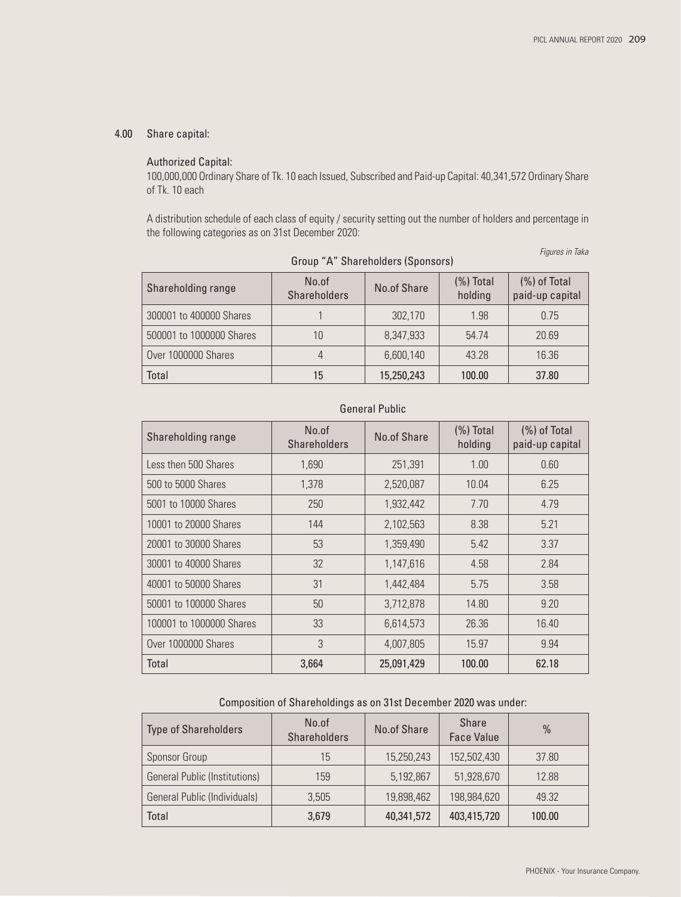### 4.00 Share capital:

### Authorized Capital:

 100,000,000 Ordinary Share of Tk. 10 each Issued, Subscribed and Paid-up Capital: 40,341,572 Ordinary Share of Tk. 10 each

 A distribution schedule of each class of equity / security setting out the number of holders and percentage in the following categories as on 31st December 2020:

|                          | Group "A" Shareholders (Sponsors) |             |                         |                                 |
|--------------------------|-----------------------------------|-------------|-------------------------|---------------------------------|
| Shareholding range       | No.of<br><b>Shareholders</b>      | No.of Share | $(\%)$ Total<br>holding | (%) of Total<br>paid-up capital |
| 300001 to 400000 Shares  |                                   | 302.170     | 1.98                    | 0.75                            |
| 500001 to 1000000 Shares | 10                                | 8,347,933   | 54.74                   | 20.69                           |
| Over 1000000 Shares      | 4                                 | 6,600,140   | 43.28                   | 16.36                           |
| Total                    | 15                                | 15,250,243  | 100.00                  | 37.80                           |

|  | roup "A" Shareholders (Sponsors) |  |  |
|--|----------------------------------|--|--|
|--|----------------------------------|--|--|

*Figures in Taka*

# General Public

| Shareholding range       | No.of<br><b>Shareholders</b> | No.of Share | $(\%)$ Total<br>holding | $(\%)$ of Total<br>paid-up capital |
|--------------------------|------------------------------|-------------|-------------------------|------------------------------------|
| Less then 500 Shares     | 1,690                        | 251,391     | 1.00                    | 0.60                               |
| 500 to 5000 Shares       | 1.378                        | 2,520,087   | 10.04                   | 6.25                               |
| 5001 to 10000 Shares     | 250                          | 1,932,442   | 7.70                    | 4.79                               |
| 10001 to 20000 Shares    | 144                          | 2,102,563   | 8.38                    | 5.21                               |
| 20001 to 30000 Shares    | 53                           | 1,359,490   | 5.42                    | 3.37                               |
| 30001 to 40000 Shares    | 32                           | 1,147,616   | 4.58                    | 2.84                               |
| 40001 to 50000 Shares    | 31                           | 1,442,484   | 5.75                    | 3.58                               |
| 50001 to 100000 Shares   | 50                           | 3,712,878   | 14.80                   | 9.20                               |
| 100001 to 1000000 Shares | 33                           | 6,614,573   | 26.36                   | 16.40                              |
| Over 1000000 Shares      | 3                            | 4,007,805   | 15.97                   | 9.94                               |
| Total                    | 3,664                        | 25,091,429  | 100.00                  | 62.18                              |

#### Composition of Shareholdings as on 31st December 2020 was under:

| <b>Type of Shareholders</b>          | No.of<br><b>Shareholders</b> | No.of Share | Share<br><b>Face Value</b> | $\frac{0}{0}$ |
|--------------------------------------|------------------------------|-------------|----------------------------|---------------|
| Sponsor Group                        | 15                           | 15,250,243  | 152,502,430                | 37.80         |
| <b>General Public (Institutions)</b> | 159                          | 5,192,867   | 51,928,670                 | 12.88         |
| General Public (Individuals)         | 3.505                        | 19,898,462  | 198,984,620                | 49.32         |
| <b>Total</b>                         | 3,679                        | 40,341,572  | 403,415,720                | 100.00        |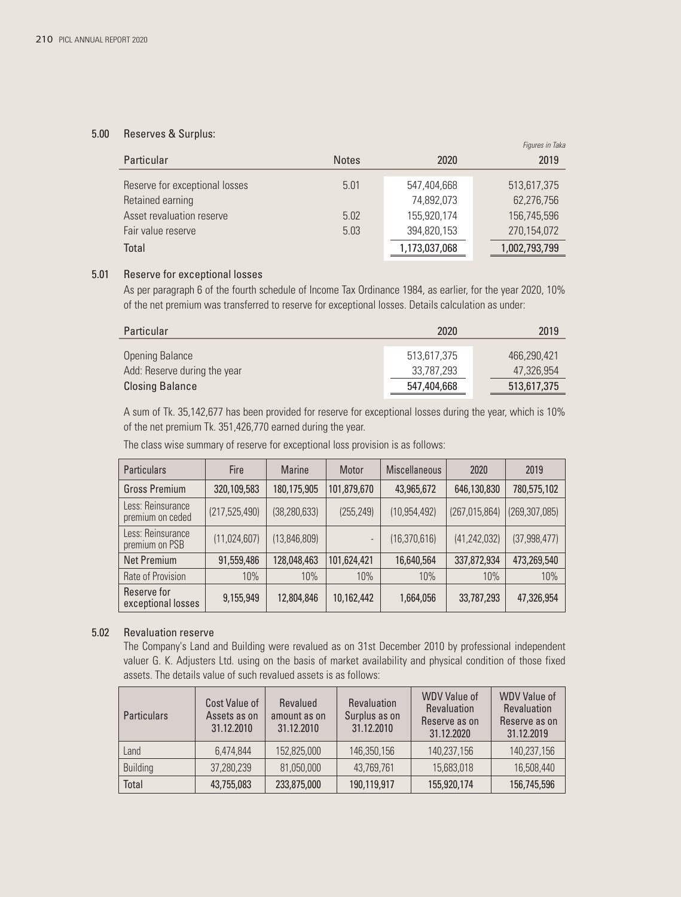#### 5.00 Reserves & Surplus:

|                                |              |               | <i>Tigurës in Taka</i> |
|--------------------------------|--------------|---------------|------------------------|
| Particular                     | <b>Notes</b> | 2020          | 2019                   |
| Reserve for exceptional losses | 5.01         | 547,404,668   | 513,617,375            |
| Retained earning               |              | 74,892,073    | 62,276,756             |
| Asset revaluation reserve      | 5.02         | 155,920,174   | 156,745,596            |
| Fair value reserve             | 5.03         | 394,820,153   | 270,154,072            |
| Total                          |              | 1,173,037,068 | 1,002,793,799          |

*Figures in Taka*

### 5.01 Reserve for exceptional losses

 As per paragraph 6 of the fourth schedule of Income Tax Ordinance 1984, as earlier, for the year 2020, 10% of the net premium was transferred to reserve for exceptional losses. Details calculation as under:

| Particular                   | 2020        | 2019        |
|------------------------------|-------------|-------------|
| <b>Opening Balance</b>       | 513.617.375 | 466.290.421 |
| Add: Reserve during the year | 33.787.293  | 47.326.954  |
| <b>Closing Balance</b>       | 547,404,668 | 513,617,375 |

 A sum of Tk. 35,142,677 has been provided for reserve for exceptional losses during the year, which is 10% of the net premium Tk. 351,426,770 earned during the year.

| <b>Particulars</b>                    | Fire            | <b>Marine</b>  | Motor                        | <b>Miscellaneous</b> | 2020            | 2019            |
|---------------------------------------|-----------------|----------------|------------------------------|----------------------|-----------------|-----------------|
| Gross Premium                         | 320,109,583     | 180,175,905    | 101,879,670                  | 43,965,672           | 646,130,830     | 780,575,102     |
| Less: Reinsurance<br>premium on ceded | (217, 525, 490) | (38, 280, 633) | (255, 249)                   | (10, 954, 492)       | (267, 015, 864) | (269, 307, 085) |
| Less: Reinsurance<br>premium on PSB   | (11,024,607)    | (13,846,809)   | $\qquad \qquad \blacksquare$ | (16, 370, 616)       | (41, 242, 032)  | (37, 998, 477)  |
| <b>Net Premium</b>                    | 91,559,486      | 128,048,463    | 101,624,421                  | 16,640,564           | 337,872,934     | 473,269,540     |
| Rate of Provision                     | 10%             | 10%            | 10%                          | 10%                  | 10%             | 10%             |
| Reserve for<br>exceptional losses     | 9,155,949       | 12,804,846     | 10,162,442                   | 1,664,056            | 33,787,293      | 47,326,954      |

The class wise summary of reserve for exceptional loss provision is as follows:

### 5.02 Revaluation reserve

 The Company's Land and Building were revalued as on 31st December 2010 by professional independent valuer G. K. Adjusters Ltd. using on the basis of market availability and physical condition of those fixed assets. The details value of such revalued assets is as follows:

| <b>Particulars</b> | Cost Value of<br>Assets as on<br>31.12.2010 | Revalued<br>amount as on<br>31.12.2010 | <b>Revaluation</b><br>Surplus as on<br>31.12.2010 | <b>WDV Value of</b><br><b>Revaluation</b><br>Reserve as on<br>31.12.2020 | <b>WDV Value of</b><br><b>Revaluation</b><br>Reserve as on<br>31.12.2019 |
|--------------------|---------------------------------------------|----------------------------------------|---------------------------------------------------|--------------------------------------------------------------------------|--------------------------------------------------------------------------|
| Land               | 6.474.844                                   | 152,825,000                            | 146,350,156                                       | 140,237,156                                                              | 140,237,156                                                              |
| <b>Building</b>    | 37,280,239                                  | 81.050.000                             | 43,769,761                                        | 15,683,018                                                               | 16,508,440                                                               |
| Total              | 43,755,083                                  | 233,875,000                            | 190,119,917                                       | 155,920,174                                                              | 156,745,596                                                              |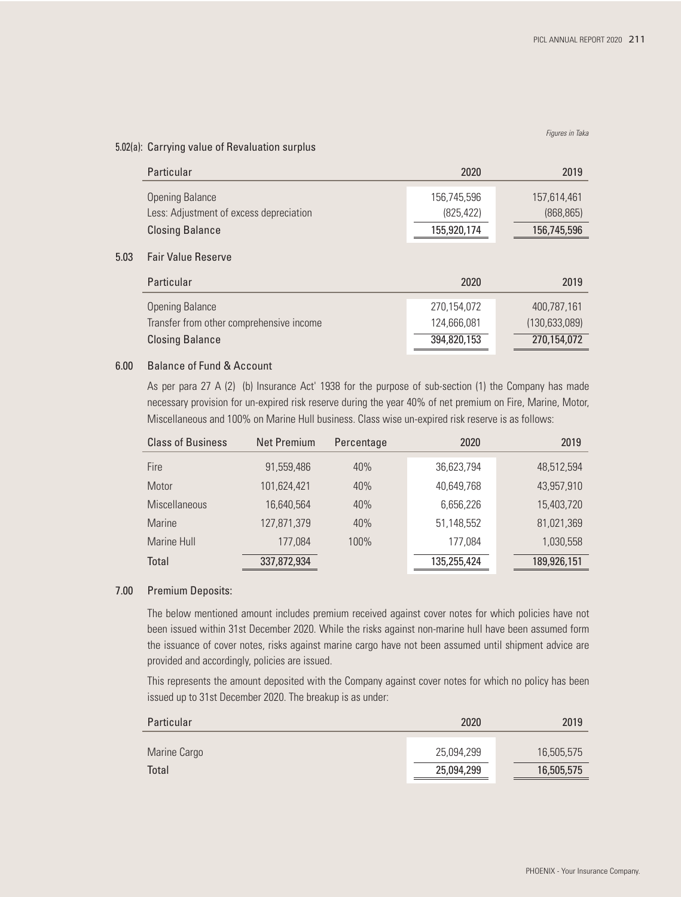#### *Figures in Taka*

#### 5.02(a): Carrying value of Revaluation surplus

|      | Particular                                                                                   | 2020                                      | 2019                                          |
|------|----------------------------------------------------------------------------------------------|-------------------------------------------|-----------------------------------------------|
|      | <b>Opening Balance</b><br>Less: Adjustment of excess depreciation                            | 156.745.596<br>(825, 422)                 | 157,614,461<br>(868, 865)                     |
|      | <b>Closing Balance</b>                                                                       | 155,920,174                               | 156,745,596                                   |
| 5.03 | <b>Fair Value Reserve</b><br>Particular                                                      | 2020                                      | 2019                                          |
|      | <b>Opening Balance</b><br>Transfer from other comprehensive income<br><b>Closing Balance</b> | 270,154,072<br>124,666,081<br>394,820,153 | 400.787.161<br>(130, 633, 089)<br>270,154,072 |

#### 6.00 Balance of Fund & Account

As per para 27 A (2) (b) Insurance Act' 1938 for the purpose of sub-section (1) the Company has made necessary provision for un-expired risk reserve during the year 40% of net premium on Fire, Marine, Motor, Miscellaneous and 100% on Marine Hull business. Class wise un-expired risk reserve is as follows:

| <b>Class of Business</b> | Net Premium | Percentage | 2020        | 2019        |
|--------------------------|-------------|------------|-------------|-------------|
| Fire                     | 91,559,486  | 40%        | 36,623,794  | 48,512,594  |
| Motor                    | 101,624,421 | 40%        | 40,649,768  | 43,957,910  |
| <b>Miscellaneous</b>     | 16,640,564  | 40%        | 6,656,226   | 15,403,720  |
| <b>Marine</b>            | 127,871,379 | 40%        | 51,148,552  | 81,021,369  |
| Marine Hull              | 177,084     | 100%       | 177,084     | 1,030,558   |
| Total                    | 337,872,934 |            | 135,255,424 | 189,926,151 |

#### 7.00 Premium Deposits:

 The below mentioned amount includes premium received against cover notes for which policies have not been issued within 31st December 2020. While the risks against non-marine hull have been assumed form the issuance of cover notes, risks against marine cargo have not been assumed until shipment advice are provided and accordingly, policies are issued.

 This represents the amount deposited with the Company against cover notes for which no policy has been issued up to 31st December 2020. The breakup is as under:

| Particular   | 2020       | 2019       |  |
|--------------|------------|------------|--|
| Marine Cargo | 25,094,299 | 16,505,575 |  |
| <b>Total</b> | 25,094,299 | 16,505,575 |  |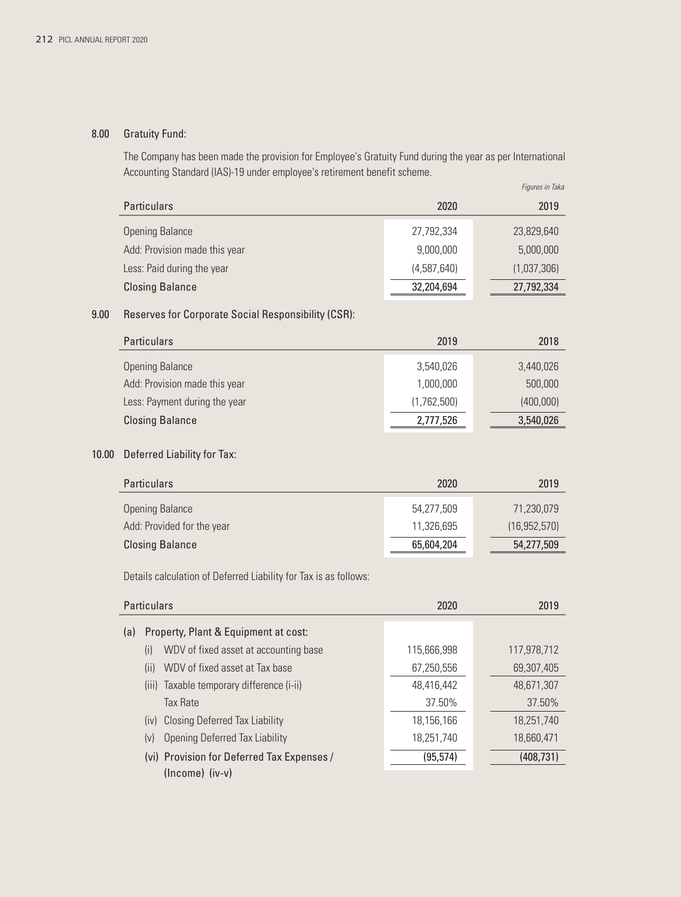# 8.00 Gratuity Fund:

The Company has been made the provision for Employee's Gratuity Fund during the year as per International Accounting Standard (IAS)-19 under employee's retirement benefit scheme.

|                               |             | Figures in Taka |
|-------------------------------|-------------|-----------------|
| <b>Particulars</b>            | 2020        | 2019            |
| <b>Opening Balance</b>        | 27,792,334  | 23,829,640      |
| Add: Provision made this year | 9,000,000   | 5,000,000       |
| Less: Paid during the year    | (4,587,640) | (1,037,306)     |
| <b>Closing Balance</b>        | 32,204,694  | 27,792,334      |

### 9.00 Reserves for Corporate Social Responsibility (CSR):

| <b>Particulars</b>            | 2019        | 2018      |
|-------------------------------|-------------|-----------|
| <b>Opening Balance</b>        | 3,540,026   | 3,440,026 |
| Add: Provision made this year | 1,000,000   | 500,000   |
| Less: Payment during the year | (1,762,500) | (400,000) |
| <b>Closing Balance</b>        | 2,777,526   | 3,540,026 |

### 10.00 Deferred Liability for Tax:

| <b>Particulars</b>         | 2020       | 2019           |
|----------------------------|------------|----------------|
| <b>Opening Balance</b>     | 54.277.509 | 71,230,079     |
| Add: Provided for the year | 11.326.695 | (16, 952, 570) |
| <b>Closing Balance</b>     | 65,604,204 | 54,277,509     |

Details calculation of Deferred Liability for Tax is as follows:

|     | <b>Particulars</b>                                                | 2020        | 2019        |
|-----|-------------------------------------------------------------------|-------------|-------------|
| (a) | Property, Plant & Equipment at cost:                              |             |             |
|     | WDV of fixed asset at accounting base<br>(i)                      | 115,666,998 | 117,978,712 |
|     | WDV of fixed asset at Tax base<br>(ii)                            | 67,250,556  | 69,307,405  |
|     | (iii) Taxable temporary difference (i-ii)                         | 48,416,442  | 48,671,307  |
|     | <b>Tax Rate</b>                                                   | 37.50%      | 37.50%      |
|     | <b>Closing Deferred Tax Liability</b><br>(iv)                     | 18,156,166  | 18.251.740  |
|     | <b>Opening Deferred Tax Liability</b><br>(v)                      | 18,251,740  | 18,660,471  |
|     | (vi) Provision for Deferred Tax Expenses /<br>$(Income)$ $(iv-v)$ | (95, 574)   | (408, 731)  |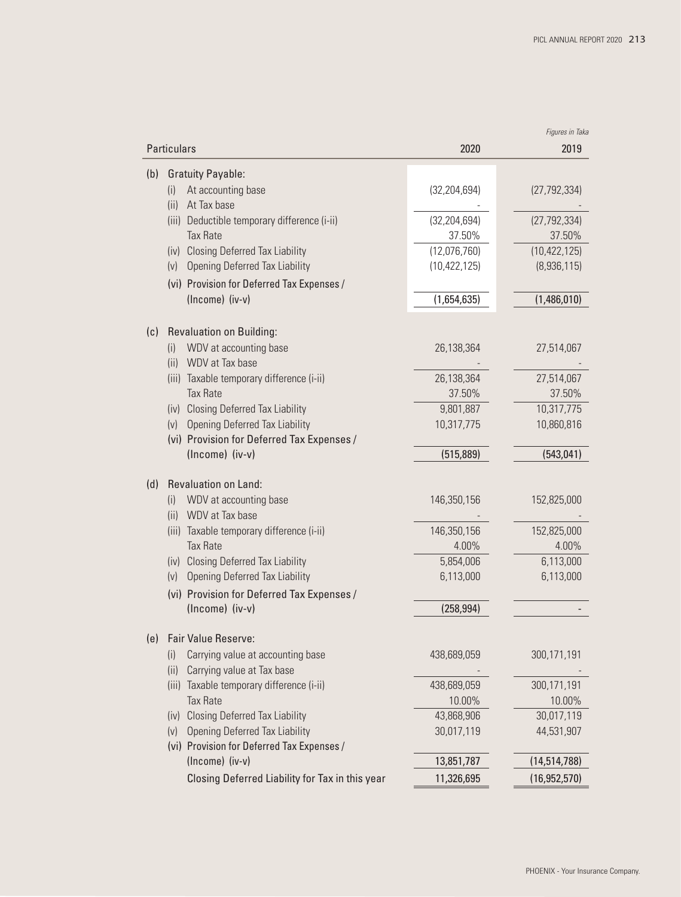|             |                                                 |                | Figures in Taka |
|-------------|-------------------------------------------------|----------------|-----------------|
| Particulars |                                                 | 2020           | 2019            |
| (b)         | <b>Gratuity Payable:</b>                        |                |                 |
| (i)         | At accounting base                              | (32, 204, 694) | (27, 792, 334)  |
| (ii)        | At Tax base                                     |                |                 |
|             | (iii) Deductible temporary difference (i-ii)    | (32, 204, 694) | (27, 792, 334)  |
|             | <b>Tax Rate</b>                                 | 37.50%         | 37.50%          |
|             | (iv) Closing Deferred Tax Liability             | (12,076,760)   | (10, 422, 125)  |
|             | (v) Opening Deferred Tax Liability              | (10, 422, 125) | (8,936,115)     |
|             | (vi) Provision for Deferred Tax Expenses /      |                |                 |
|             | (Income) (iv-v)                                 | (1,654,635)    | (1,486,010)     |
| (c)         | <b>Revaluation on Building:</b>                 |                |                 |
| (i)         | WDV at accounting base                          | 26,138,364     | 27,514,067      |
|             | (ii) WDV at Tax base                            |                |                 |
|             | (iii) Taxable temporary difference (i-ii)       | 26,138,364     | 27,514,067      |
|             | <b>Tax Rate</b>                                 | 37.50%         | 37.50%          |
|             | (iv) Closing Deferred Tax Liability             | 9,801,887      | 10,317,775      |
|             | (v) Opening Deferred Tax Liability              | 10,317,775     | 10,860,816      |
|             | (vi) Provision for Deferred Tax Expenses /      |                |                 |
|             | (Income) (iv-v)                                 | (515, 889)     | (543, 041)      |
| (d)         | <b>Revaluation on Land:</b>                     |                |                 |
|             | WDV at accounting base                          | 146,350,156    | 152,825,000     |
| (i)<br>(ii) | WDV at Tax base                                 |                |                 |
|             | (iii) Taxable temporary difference (i-ii)       | 146,350,156    | 152,825,000     |
|             | <b>Tax Rate</b>                                 | 4.00%          | 4.00%           |
|             | (iv) Closing Deferred Tax Liability             | 5,854,006      | 6,113,000       |
| (v)         | Opening Deferred Tax Liability                  | 6,113,000      | 6,113,000       |
|             | (vi) Provision for Deferred Tax Expenses /      |                |                 |
|             | (Income) (iv-v)                                 | (258, 994)     |                 |
| (e)         | Fair Value Reserve:                             |                |                 |
| (i)         | Carrying value at accounting base               | 438,689,059    | 300,171,191     |
| (ii)        | Carrying value at Tax base                      |                |                 |
| (iii)       | Taxable temporary difference (i-ii)             | 438,689,059    | 300,171,191     |
|             | <b>Tax Rate</b>                                 | 10.00%         | 10.00%          |
|             | (iv) Closing Deferred Tax Liability             | 43,868,906     | 30,017,119      |
| (v)         | <b>Opening Deferred Tax Liability</b>           | 30,017,119     | 44,531,907      |
|             | (vi) Provision for Deferred Tax Expenses /      |                |                 |
|             | (Income) (iv-v)                                 | 13,851,787     | (14, 514, 788)  |
|             | Closing Deferred Liability for Tax in this year | 11,326,695     | (16, 952, 570)  |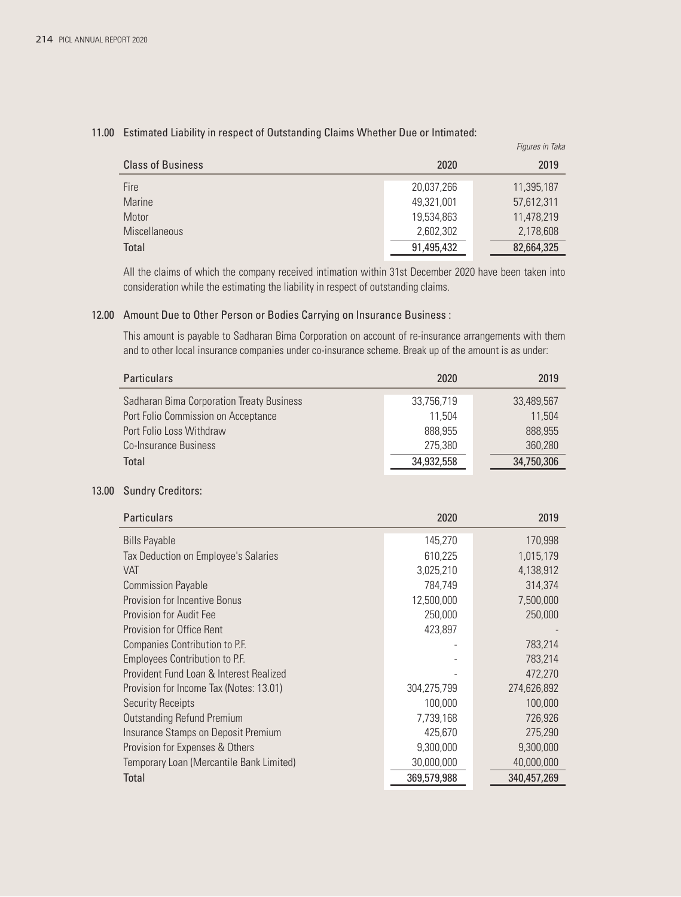|                          |            | Figures in Taka |
|--------------------------|------------|-----------------|
| <b>Class of Business</b> | 2020       | 2019            |
| Fire                     | 20,037,266 | 11,395,187      |
| <b>Marine</b>            | 49,321,001 | 57,612,311      |
| Motor                    | 19,534,863 | 11,478,219      |
| <b>Miscellaneous</b>     | 2,602,302  | 2,178,608       |
| Total                    | 91,495,432 | 82,664,325      |

#### 11.00 Estimated Liability in respect of Outstanding Claims Whether Due or Intimated:

 All the claims of which the company received intimation within 31st December 2020 have been taken into consideration while the estimating the liability in respect of outstanding claims.

### 12.00 Amount Due to Other Person or Bodies Carrying on Insurance Business :

 This amount is payable to Sadharan Bima Corporation on account of re-insurance arrangements with them and to other local insurance companies under co-insurance scheme. Break up of the amount is as under:

|       | <b>Particulars</b>                        | 2020        | 2019        |
|-------|-------------------------------------------|-------------|-------------|
|       | Sadharan Bima Corporation Treaty Business | 33,756,719  | 33,489,567  |
|       | Port Folio Commission on Acceptance       | 11,504      | 11,504      |
|       | Port Folio Loss Withdraw                  | 888,955     | 888,955     |
|       | <b>Co-Insurance Business</b>              | 275,380     | 360,280     |
|       | Total                                     | 34,932,558  | 34,750,306  |
| 13.00 | <b>Sundry Creditors:</b>                  |             |             |
|       | Particulars                               | 2020        | 2019        |
|       | <b>Bills Payable</b>                      | 145,270     | 170,998     |
|       | Tax Deduction on Employee's Salaries      | 610,225     | 1,015,179   |
|       | VAT                                       | 3,025,210   | 4,138,912   |
|       | <b>Commission Payable</b>                 | 784,749     | 314,374     |
|       | <b>Provision for Incentive Bonus</b>      | 12,500,000  | 7,500,000   |
|       | <b>Provision for Audit Fee</b>            | 250,000     | 250,000     |
|       | <b>Provision for Office Rent</b>          | 423,897     |             |
|       | Companies Contribution to P.F.            |             | 783,214     |
|       | Employees Contribution to P.F.            |             | 783,214     |
|       | Provident Fund Loan & Interest Realized   |             | 472,270     |
|       | Provision for Income Tax (Notes: 13.01)   | 304,275,799 | 274,626,892 |
|       | <b>Security Receipts</b>                  | 100,000     | 100,000     |
|       | <b>Outstanding Refund Premium</b>         | 7,739,168   | 726,926     |
|       | Insurance Stamps on Deposit Premium       | 425,670     | 275,290     |
|       | Provision for Expenses & Others           | 9,300,000   | 9,300,000   |
|       | Temporary Loan (Mercantile Bank Limited)  | 30,000,000  | 40,000,000  |
|       | Total                                     | 369,579,988 | 340,457,269 |
|       |                                           |             |             |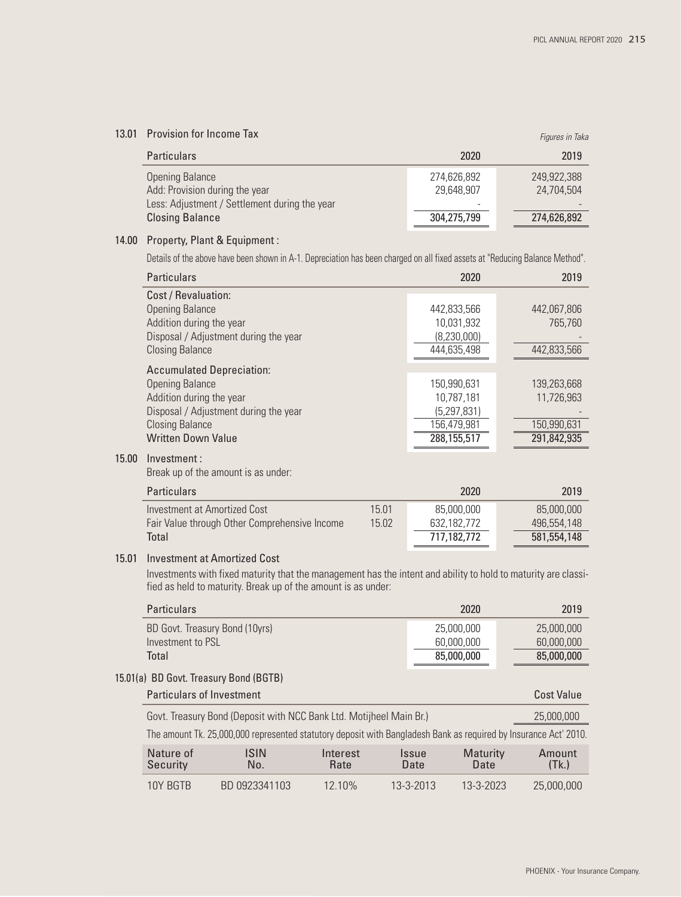### 13.01 Provision for Income Tax

| 13.01 | Provision for Income Tax                                 |                           | Figures in Taka           |
|-------|----------------------------------------------------------|---------------------------|---------------------------|
|       | <b>Particulars</b>                                       | 2020                      | 2019                      |
|       | <b>Opening Balance</b><br>Add: Provision during the year | 274,626,892<br>29,648,907 | 249.922.388<br>24,704,504 |
|       | Less: Adjustment / Settlement during the year            |                           |                           |
|       | <b>Closing Balance</b>                                   | 304,275,799               | 274,626,892               |
|       |                                                          |                           |                           |

#### 14.00 Property, Plant & Equipment :

Details of the above have been shown in A-1. Depreciation has been charged on all fixed assets at "Reducing Balance Method".

|       | <b>Particulars</b>                                                                                                                                                                     |                | 2020                                                                     | 2019                                                    |
|-------|----------------------------------------------------------------------------------------------------------------------------------------------------------------------------------------|----------------|--------------------------------------------------------------------------|---------------------------------------------------------|
|       | Cost / Revaluation:<br><b>Opening Balance</b><br>Addition during the year<br>Disposal / Adjustment during the year<br><b>Closing Balance</b>                                           |                | 442,833,566<br>10,031,932<br>(8,230,000)<br>444,635,498                  | 442,067,806<br>765.760<br>442,833,566                   |
|       | <b>Accumulated Depreciation:</b><br><b>Opening Balance</b><br>Addition during the year<br>Disposal / Adjustment during the year<br><b>Closing Balance</b><br><b>Written Down Value</b> |                | 150,990,631<br>10,787,181<br>(5,297,831)<br>156,479,981<br>288, 155, 517 | 139,263,668<br>11,726,963<br>150,990,631<br>291,842,935 |
| 15.00 | Investment:<br>Break up of the amount is as under:                                                                                                                                     |                |                                                                          |                                                         |
|       | <b>Particulars</b>                                                                                                                                                                     |                | 2020                                                                     | 2019                                                    |
|       | <b>Investment at Amortized Cost</b><br>Fair Value through Other Comprehensive Income<br>Total                                                                                          | 15.01<br>15.02 | 85,000,000<br>632,182,772<br>717,182,772                                 | 85,000,000<br>496,554,148<br>581,554,148                |

#### 15.01 Investment at Amortized Cost

 Investments with fixed maturity that the management has the intent and ability to hold to maturity are classified as held to maturity. Break up of the amount is as under:

| <b>Particulars</b>                                                                                               |                                                                     |                  |               | 2020                    | 2019           |
|------------------------------------------------------------------------------------------------------------------|---------------------------------------------------------------------|------------------|---------------|-------------------------|----------------|
| BD Govt. Treasury Bond (10yrs)                                                                                   |                                                                     |                  |               | 25,000,000              | 25,000,000     |
| Investment to PSL                                                                                                |                                                                     |                  |               | 60.000.000              | 60,000,000     |
| Total                                                                                                            |                                                                     |                  |               | 85,000,000              | 85,000,000     |
| 15.01(a) BD Govt. Treasury Bond (BGTB)                                                                           |                                                                     |                  |               |                         |                |
| <b>Particulars of Investment</b>                                                                                 |                                                                     |                  |               |                         | Cost Value     |
|                                                                                                                  | Govt. Treasury Bond (Deposit with NCC Bank Ltd. Motijheel Main Br.) |                  |               |                         | 25,000,000     |
| The amount Tk. 25,000,000 represented statutory deposit with Bangladesh Bank as required by Insurance Act' 2010. |                                                                     |                  |               |                         |                |
| Nature of<br>Security                                                                                            | <b>ISIN</b><br>No.                                                  | Interest<br>Rate | Issue<br>Date | <b>Maturity</b><br>Date | Amount<br>(Tk) |
| 10Y BGTB                                                                                                         | BD 0923341103                                                       | 12.10%           | 13-3-2013     | 13-3-2023               | 25,000,000     |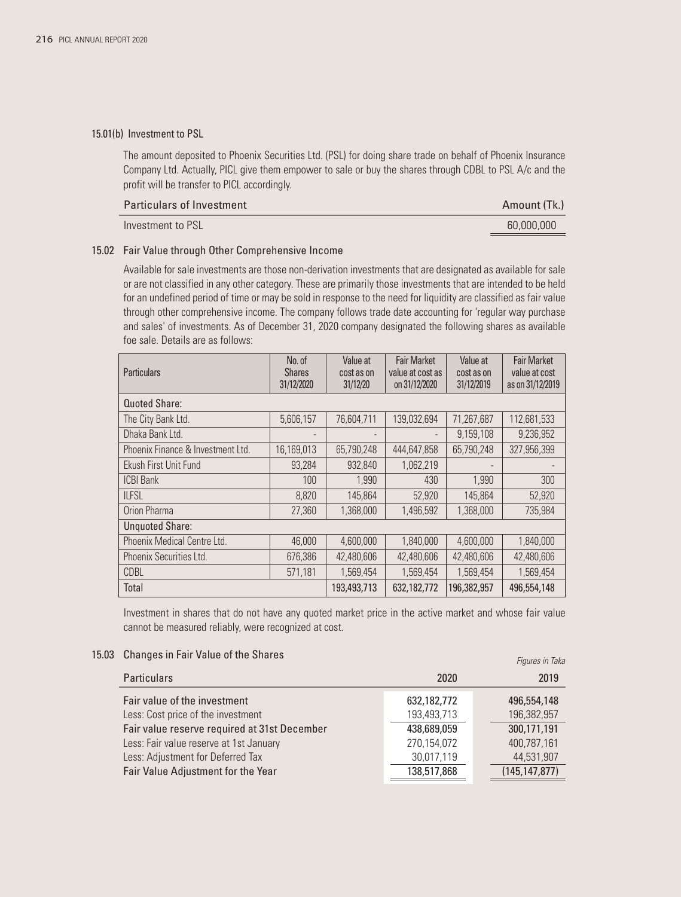#### 15.01(b) Investment to PSL

 The amount deposited to Phoenix Securities Ltd. (PSL) for doing share trade on behalf of Phoenix Insurance Company Ltd. Actually, PICL give them empower to sale or buy the shares through CDBL to PSL A/c and the profit will be transfer to PICL accordingly.

| <b>Particulars of Investment</b> | Amount (Tk.) |
|----------------------------------|--------------|
| Investment to PSL                | 60,000,000   |

#### 15.02 Fair Value through Other Comprehensive Income

 Available for sale investments are those non-derivation investments that are designated as available for sale or are not classified in any other category. These are primarily those investments that are intended to be held for an undefined period of time or may be sold in response to the need for liquidity are classified as fair value through other comprehensive income. The company follows trade date accounting for 'regular way purchase and sales' of investments. As of December 31, 2020 company designated the following shares as available foe sale. Details are as follows:

| <b>Particulars</b>                | No. of<br><b>Shares</b><br>31/12/2020 | Value at<br>cost as on<br>31/12/20 | <b>Fair Market</b><br>value at cost as<br>on 31/12/2020 | Value at<br>cost as on<br>31/12/2019 | <b>Fair Market</b><br>value at cost<br>as on 31/12/2019 |
|-----------------------------------|---------------------------------------|------------------------------------|---------------------------------------------------------|--------------------------------------|---------------------------------------------------------|
| Quoted Share:                     |                                       |                                    |                                                         |                                      |                                                         |
| The City Bank Ltd.                | 5,606,157                             | 76,604,711                         | 139,032,694                                             | 71,267,687                           | 112,681,533                                             |
| Dhaka Bank Ltd.                   |                                       |                                    | $\overline{\phantom{a}}$                                | 9,159,108                            | 9,236,952                                               |
| Phoenix Finance & Investment Ltd. | 16,169,013                            | 65,790,248                         | 444,647,858                                             | 65,790,248                           | 327,956,399                                             |
| Ekush First Unit Fund             | 93,284                                | 932,840                            | 1,062,219                                               |                                      |                                                         |
| <b>ICBI Bank</b>                  | 100                                   | 1.990                              | 430                                                     | 1.990                                | 300                                                     |
| <b>ILFSL</b>                      | 8,820                                 | 145,864                            | 52,920                                                  | 145,864                              | 52,920                                                  |
| Orion Pharma                      | 27,360                                | 1,368,000                          | 1,496,592                                               | 1,368,000                            | 735,984                                                 |
| <b>Unquoted Share:</b>            |                                       |                                    |                                                         |                                      |                                                         |
| Phoenix Medical Centre Ltd.       | 46,000                                | 4,600,000                          | 1,840,000                                               | 4,600,000                            | 1,840,000                                               |
| Phoenix Securities Ltd.           | 676,386                               | 42,480,606                         | 42,480,606                                              | 42,480,606                           | 42,480,606                                              |
| CDBL                              | 571,181                               | 1,569,454                          | 1,569,454                                               | 1,569,454                            | 1,569,454                                               |
| Total                             |                                       | 193,493,713                        | 632,182,772                                             | 196,382,957                          | 496,554,148                                             |

 Investment in shares that do not have any quoted market price in the active market and whose fair value cannot be measured reliably, were recognized at cost.

*Figures in Taka*

|  | 15.03 Changes in Fair Value of the Shares |  |  |  |  |
|--|-------------------------------------------|--|--|--|--|
|--|-------------------------------------------|--|--|--|--|

| <b>Particulars</b>                           | 2020        | 2019            |
|----------------------------------------------|-------------|-----------------|
| Fair value of the investment                 | 632,182,772 | 496,554,148     |
| Less: Cost price of the investment           | 193,493,713 | 196,382,957     |
| Fair value reserve required at 31st December | 438,689,059 | 300,171,191     |
| Less: Fair value reserve at 1st January      | 270,154,072 | 400,787,161     |
| Less: Adjustment for Deferred Tax            | 30,017,119  | 44,531,907      |
| Fair Value Adjustment for the Year           | 138,517,868 | (145, 147, 877) |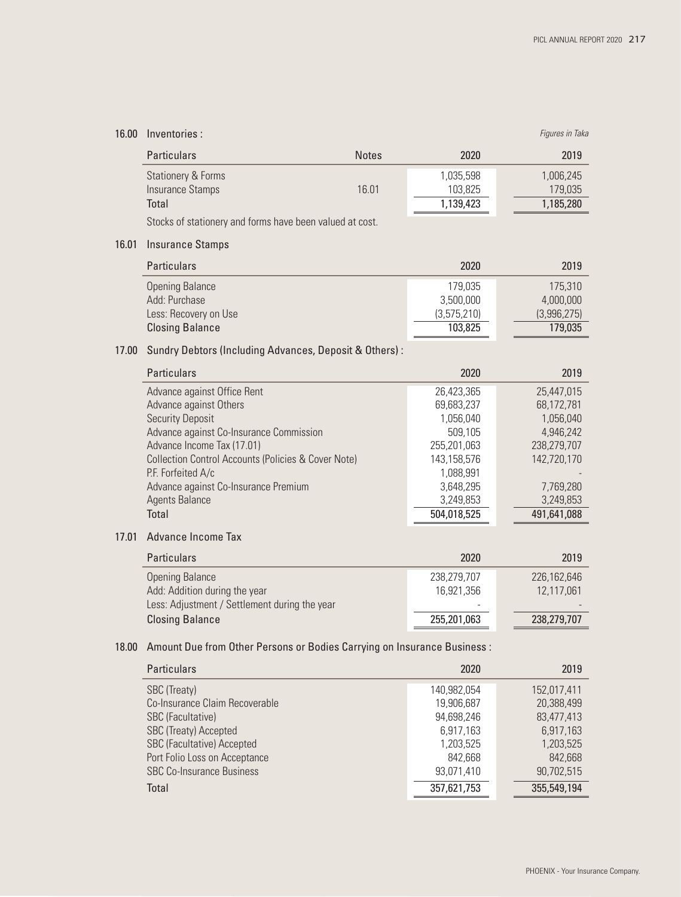# 16.00 Inventories :

| 16.00 | Inventories :                                                            |              |             | Figures in Taka |
|-------|--------------------------------------------------------------------------|--------------|-------------|-----------------|
|       | Particulars                                                              | <b>Notes</b> | 2020        | 2019            |
|       | <b>Stationery &amp; Forms</b>                                            |              | 1,035,598   | 1,006,245       |
|       | <b>Insurance Stamps</b>                                                  | 16.01        | 103,825     | 179,035         |
|       | Total                                                                    |              | 1,139,423   | 1,185,280       |
|       | Stocks of stationery and forms have been valued at cost.                 |              |             |                 |
| 16.01 | <b>Insurance Stamps</b>                                                  |              |             |                 |
|       | <b>Particulars</b>                                                       |              | 2020        | 2019            |
|       | <b>Opening Balance</b>                                                   |              | 179,035     | 175,310         |
|       | Add: Purchase                                                            |              | 3,500,000   | 4,000,000       |
|       | Less: Recovery on Use                                                    |              | (3,575,210) | (3,996,275)     |
|       | <b>Closing Balance</b>                                                   |              | 103,825     | 179,035         |
| 17.00 | Sundry Debtors (Including Advances, Deposit & Others):                   |              |             |                 |
|       | Particulars                                                              |              | 2020        | 2019            |
|       | Advance against Office Rent                                              |              | 26,423,365  | 25,447,015      |
|       | Advance against Others                                                   |              | 69,683,237  | 68,172,781      |
|       | <b>Security Deposit</b>                                                  |              | 1,056,040   | 1,056,040       |
|       | Advance against Co-Insurance Commission                                  |              | 509,105     | 4,946,242       |
|       | Advance Income Tax (17.01)                                               |              | 255,201,063 | 238,279,707     |
|       | <b>Collection Control Accounts (Policies &amp; Cover Note)</b>           |              | 143,158,576 | 142,720,170     |
|       | P.F. Forfeited A/c                                                       |              | 1,088,991   |                 |
|       | Advance against Co-Insurance Premium                                     |              | 3,648,295   | 7,769,280       |
|       | <b>Agents Balance</b><br>Total                                           |              | 3,249,853   | 3,249,853       |
|       |                                                                          |              | 504,018,525 | 491,641,088     |
| 17.01 | Advance Income Tax                                                       |              |             |                 |
|       | <b>Particulars</b>                                                       |              | 2020        | 2019            |
|       | <b>Opening Balance</b>                                                   |              | 238,279,707 | 226,162,646     |
|       | Add: Addition during the year                                            |              | 16,921,356  | 12,117,061      |
|       | Less: Adjustment / Settlement during the year                            |              |             |                 |
|       | <b>Closing Balance</b>                                                   |              | 255,201,063 | 238,279,707     |
| 18.00 | Amount Due from Other Persons or Bodies Carrying on Insurance Business : |              |             |                 |
|       | <b>Particulars</b>                                                       |              | 2020        | 2019            |
|       | SBC (Treaty)                                                             |              | 140,982,054 | 152,017,411     |
|       | Co-Insurance Claim Recoverable                                           |              | 19,906,687  | 20,388,499      |

| Total                             | 357,621,753 | 355,549,194 |
|-----------------------------------|-------------|-------------|
| <b>SBC Co-Insurance Business</b>  | 93,071,410  | 90.702.515  |
| Port Folio Loss on Acceptance     | 842.668     | 842.668     |
| <b>SBC (Facultative) Accepted</b> | 1,203,525   | 1,203,525   |
| SBC (Treaty) Accepted             | 6,917,163   | 6,917,163   |
| SBC (Facultative)                 | 94,698,246  | 83,477,413  |
| Co-Insurance Claim Recoverable    | 19,906,687  | 20,388,499  |
| SBC (Treaty)                      | 140.982.054 | 152.017.411 |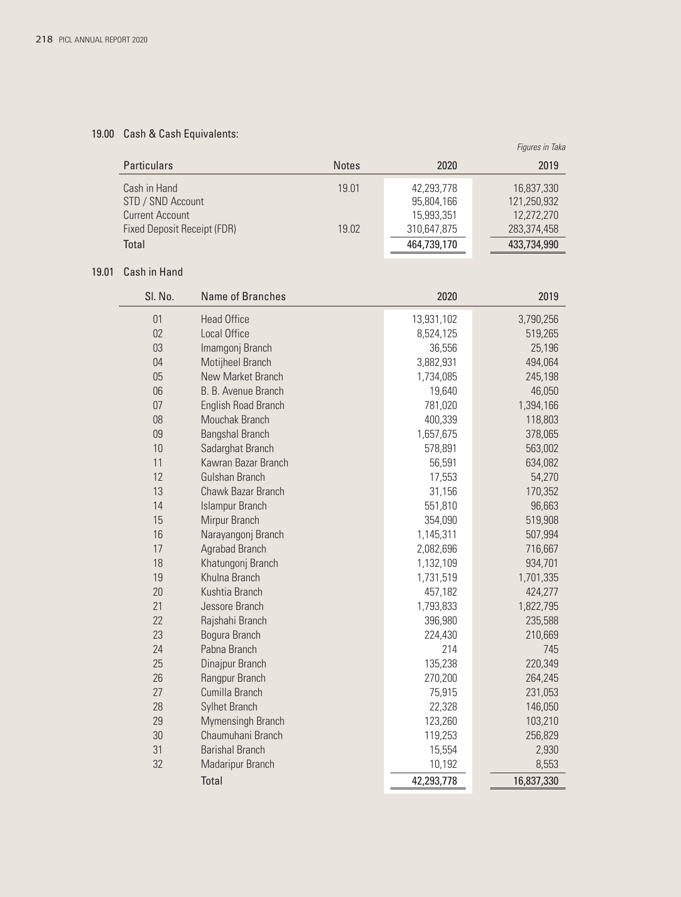# 19.00 Cash & Cash Equivalents:

|                             |              |             | Figures in Taka |
|-----------------------------|--------------|-------------|-----------------|
| <b>Particulars</b>          | <b>Notes</b> | 2020        | 2019            |
| Cash in Hand                | 19.01        | 42,293,778  | 16,837,330      |
| STD / SND Account           |              | 95,804,166  | 121,250,932     |
| Current Account             |              | 15,993,351  | 12,272,270      |
| Fixed Deposit Receipt (FDR) | 19.02        | 310,647,875 | 283,374,458     |
| Total                       |              | 464,739,170 | 433,734,990     |

### 19.01 Cash in Hand

| SI. No. | Name of Branches           | 2020       | 2019       |
|---------|----------------------------|------------|------------|
| 01      | <b>Head Office</b>         | 13,931,102 | 3,790,256  |
| 02      | <b>Local Office</b>        | 8,524,125  | 519,265    |
| 03      | Imamgonj Branch            | 36,556     | 25,196     |
| 04      | Motijheel Branch           | 3,882,931  | 494,064    |
| 05      | New Market Branch          | 1,734,085  | 245,198    |
| 06      | B. B. Avenue Branch        | 19,640     | 46,050     |
| 07      | <b>English Road Branch</b> | 781,020    | 1,394,166  |
| 08      | Mouchak Branch             | 400,339    | 118,803    |
| 09      | <b>Bangshal Branch</b>     | 1,657,675  | 378,065    |
| 10      | Sadarghat Branch           | 578,891    | 563,002    |
| 11      | Kawran Bazar Branch        | 56,591     | 634,082    |
| 12      | Gulshan Branch             | 17,553     | 54,270     |
| 13      | Chawk Bazar Branch         | 31,156     | 170,352    |
| 14      | <b>Islampur Branch</b>     | 551,810    | 96,663     |
| 15      | Mirpur Branch              | 354,090    | 519,908    |
| 16      | Narayangonj Branch         | 1,145,311  | 507,994    |
| 17      | Agrabad Branch             | 2,082,696  | 716,667    |
| 18      | Khatungonj Branch          | 1,132,109  | 934,701    |
| 19      | Khulna Branch              | 1,731,519  | 1,701,335  |
| 20      | Kushtia Branch             | 457,182    | 424,277    |
| 21      | Jessore Branch             | 1,793,833  | 1,822,795  |
| 22      | Rajshahi Branch            | 396,980    | 235,588    |
| 23      | Bogura Branch              | 224,430    | 210,669    |
| 24      | Pabna Branch               | 214        | 745        |
| 25      | Dinajpur Branch            | 135,238    | 220,349    |
| 26      | Rangpur Branch             | 270,200    | 264,245    |
| 27      | Cumilla Branch             | 75,915     | 231,053    |
| 28      | <b>Sylhet Branch</b>       | 22,328     | 146,050    |
| 29      | Mymensingh Branch          | 123,260    | 103,210    |
| 30      | Chaumuhani Branch          | 119,253    | 256,829    |
| 31      | <b>Barishal Branch</b>     | 15,554     | 2,930      |
| 32      | Madaripur Branch           | 10,192     | 8,553      |
|         | Total                      | 42,293,778 | 16,837,330 |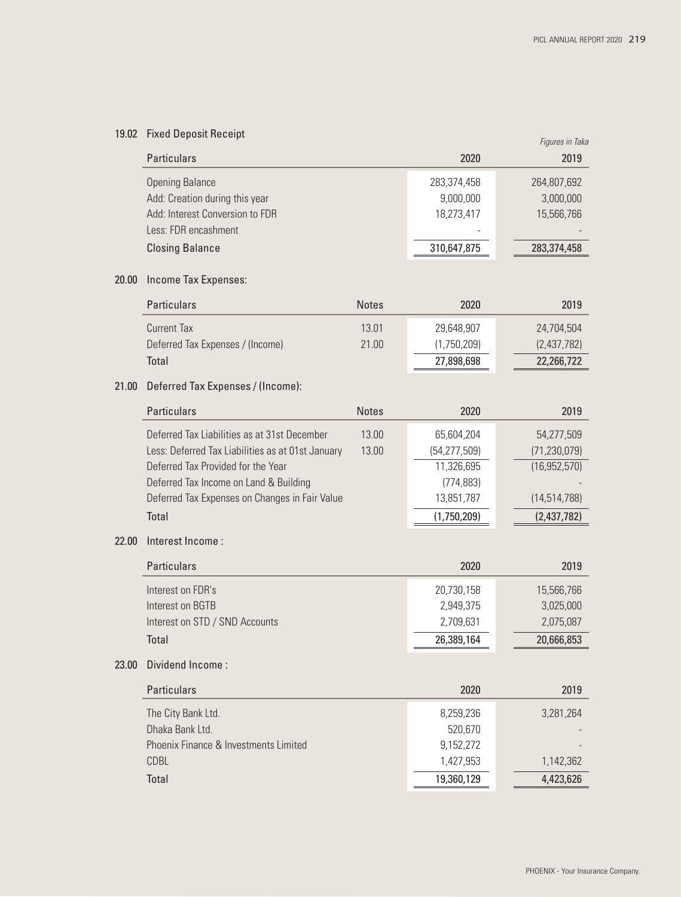# 19.02 Fixed Deposit Receipt

| <b>19.02 INGU DUPOSIT RUGGIPT</b> | Figures in Taka |             |  |  |
|-----------------------------------|-----------------|-------------|--|--|
| <b>Particulars</b>                | 2020            | 2019        |  |  |
| <b>Opening Balance</b>            | 283,374,458     | 264,807,692 |  |  |
| Add: Creation during this year    | 9,000,000       | 3,000,000   |  |  |
| Add: Interest Conversion to FDR   | 18,273,417      | 15,566,766  |  |  |
| Less: FDR encashment              |                 |             |  |  |
| <b>Closing Balance</b>            | 310,647,875     | 283,374,458 |  |  |

### 20.00 Income Tax Expenses:

| <b>Particulars</b>               | <b>Notes</b> | 2020        | 2019        |
|----------------------------------|--------------|-------------|-------------|
| Current Tax                      | 13.01        | 29.648.907  | 24.704.504  |
| Deferred Tax Expenses / (Income) | 21.00        | (1,750,209) | (2,437,782) |
| Total                            |              | 27,898,698  | 22,266,722  |

### 21.00 Deferred Tax Expenses / (Income):

| <b>Particulars</b>                                | <b>Notes</b> | 2020           | 2019           |
|---------------------------------------------------|--------------|----------------|----------------|
| Deferred Tax Liabilities as at 31st December      | 13.00        | 65,604,204     | 54,277,509     |
| Less: Deferred Tax Liabilities as at 01st January | 13.00        | (54, 277, 509) | (71, 230, 079) |
| Deferred Tax Provided for the Year                |              | 11,326,695     | (16, 952, 570) |
| Deferred Tax Income on Land & Building            |              | (774, 883)     |                |
| Deferred Tax Expenses on Changes in Fair Value    |              | 13,851,787     | (14, 514, 788) |
| Total                                             |              | (1,750,209)    | (2,437,782)    |

#### 22.00 Interest Income :

| 20,730,158 | 15,566,766 |
|------------|------------|
|            |            |
| 2,949,375  | 3,025,000  |
| 2,709,631  | 2,075,087  |
| 26,389,164 | 20,666,853 |
|            |            |

### 23.00 Dividend Income :

| 2020       | 2019      |
|------------|-----------|
| 8,259,236  | 3,281,264 |
| 520,670    |           |
| 9,152,272  |           |
| 1,427,953  | 1,142,362 |
| 19,360,129 | 4,423,626 |
|            |           |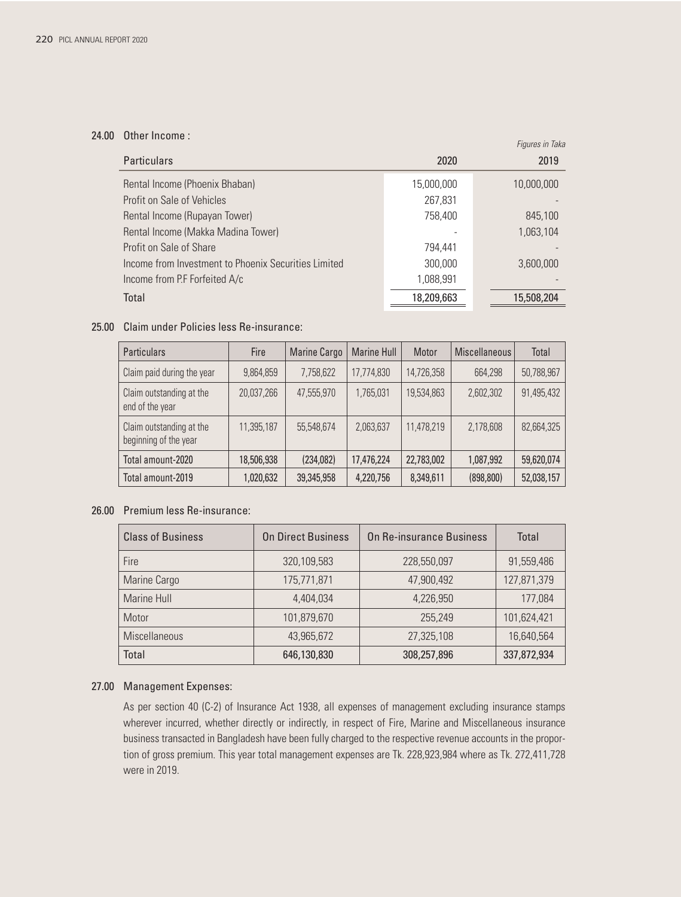#### 24.00 Other Income :

| <b>Particulars</b>                                   | 2020       | Figures in Taka<br>2019 |
|------------------------------------------------------|------------|-------------------------|
| Rental Income (Phoenix Bhaban)                       | 15,000,000 | 10,000,000              |
| Profit on Sale of Vehicles                           | 267,831    |                         |
| Rental Income (Rupayan Tower)                        | 758,400    | 845,100                 |
| Rental Income (Makka Madina Tower)                   |            | 1,063,104               |
| Profit on Sale of Share                              | 794.441    |                         |
| Income from Investment to Phoenix Securities Limited | 300.000    | 3.600.000               |
| Income from P.F Forfeited A/c                        | 1,088,991  |                         |
| Total                                                | 18,209,663 | 15,508,204              |

#### 25.00 Claim under Policies less Re-insurance:

| <b>Particulars</b>                                | Fire       | <b>Marine Cargo</b> | <b>Marine Hull</b> | Motor      | Miscellaneous | Total      |
|---------------------------------------------------|------------|---------------------|--------------------|------------|---------------|------------|
| Claim paid during the year                        | 9,864,859  | 7,758,622           | 17,774,830         | 14,726,358 | 664.298       | 50,788,967 |
| Claim outstanding at the<br>end of the year       | 20,037,266 | 47.555.970          | 1.765.031          | 19,534,863 | 2,602,302     | 91,495,432 |
| Claim outstanding at the<br>beginning of the year | 11,395,187 | 55,548,674          | 2,063,637          | 11,478,219 | 2,178,608     | 82,664,325 |
| Total amount-2020                                 | 18,506,938 | (234,082)           | 17,476,224         | 22,783,002 | 1,087,992     | 59,620,074 |
| Total amount-2019                                 | 1,020,632  | 39,345,958          | 4,220,756          | 8,349,611  | (898, 800)    | 52,038,157 |

### 26.00 Premium less Re-insurance:

| <b>Class of Business</b> | <b>On Direct Business</b> | On Re-insurance Business | Total       |
|--------------------------|---------------------------|--------------------------|-------------|
| Fire                     | 320,109,583               | 228,550,097              | 91,559,486  |
| Marine Cargo             | 175,771,871               | 47,900,492               | 127,871,379 |
| Marine Hull              | 4.404.034                 | 4,226,950                | 177,084     |
| Motor                    | 101,879,670               | 255,249                  | 101,624,421 |
| <b>Miscellaneous</b>     | 43,965,672                | 27,325,108               | 16,640,564  |
| Total                    | 646,130,830               | 308,257,896              | 337,872,934 |

### 27.00 Management Expenses:

 As per section 40 (C-2) of Insurance Act 1938, all expenses of management excluding insurance stamps wherever incurred, whether directly or indirectly, in respect of Fire, Marine and Miscellaneous insurance business transacted in Bangladesh have been fully charged to the respective revenue accounts in the proportion of gross premium. This year total management expenses are Tk. 228,923,984 where as Tk. 272,411,728 were in 2019.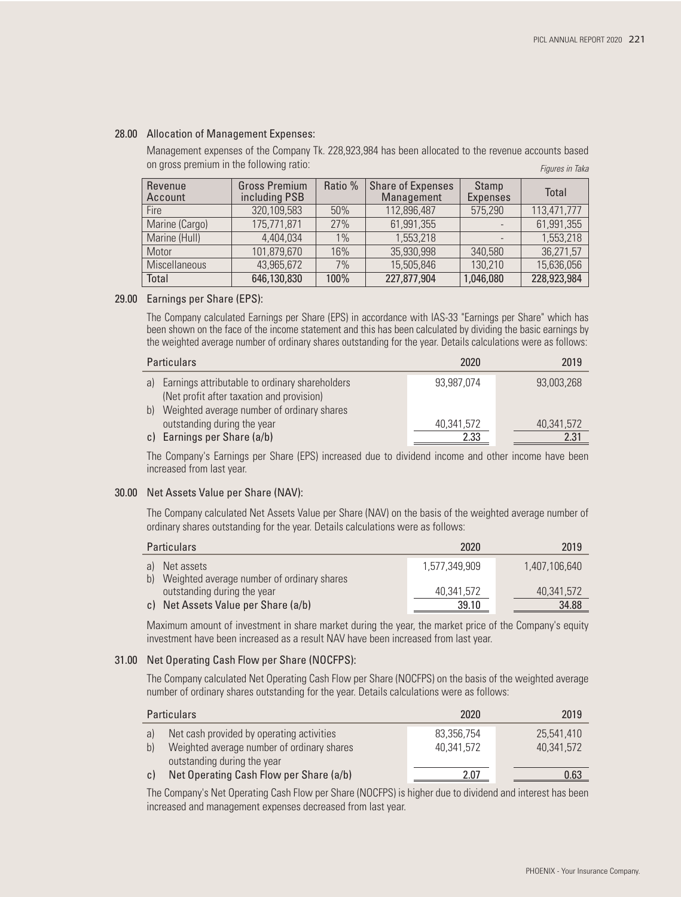#### 28.00 Allocation of Management Expenses:

*Figures in Taka* Management expenses of the Company Tk. 228,923,984 has been allocated to the revenue accounts based on gross premium in the following ratio:

| Revenue<br>Account   | <b>Gross Premium</b><br>including PSB | Ratio % | <b>Share of Expenses</b><br>Management | Stamp<br><b>Expenses</b> | Total       |
|----------------------|---------------------------------------|---------|----------------------------------------|--------------------------|-------------|
| <b>Fire</b>          | 320,109,583                           | 50%     | 112,896,487                            | 575,290                  | 113,471,777 |
| Marine (Cargo)       | 175,771,871                           | 27%     | 61,991,355                             |                          | 61,991,355  |
| Marine (Hull)        | 4,404,034                             | 1%      | 1,553,218                              |                          | 1,553,218   |
| Motor                | 101,879,670                           | 16%     | 35,930,998                             | 340,580                  | 36,271,57   |
| <b>Miscellaneous</b> | 43,965,672                            | 7%      | 15,505,846                             | 130,210                  | 15,636,056  |
| Total                | 646,130,830                           | 100%    | 227,877,904                            | 1,046,080                | 228,923,984 |

#### 29.00 Earnings per Share (EPS):

 The Company calculated Earnings per Share (EPS) in accordance with IAS-33 "Earnings per Share" which has been shown on the face of the income statement and this has been calculated by dividing the basic earnings by the weighted average number of ordinary shares outstanding for the year. Details calculations were as follows:

| <b>Particulars</b>                                                                             | 2020       | 2019       |
|------------------------------------------------------------------------------------------------|------------|------------|
| a) Earnings attributable to ordinary shareholders<br>(Net profit after taxation and provision) | 93.987.074 | 93,003,268 |
| b) Weighted average number of ordinary shares                                                  |            |            |
| outstanding during the year                                                                    | 40,341,572 | 40.341.572 |
| c) Earnings per Share (a/b)                                                                    | 2.33       | 2.31       |

 The Company's Earnings per Share (EPS) increased due to dividend income and other income have been increased from last year.

#### 30.00 Net Assets Value per Share (NAV):

 The Company calculated Net Assets Value per Share (NAV) on the basis of the weighted average number of ordinary shares outstanding for the year. Details calculations were as follows:

| <b>Particulars</b>                                                           | 2020          | 2019          |
|------------------------------------------------------------------------------|---------------|---------------|
| a) Net assets                                                                | 1.577.349.909 | 1.407.106.640 |
| b) Weighted average number of ordinary shares<br>outstanding during the year | 40.341.572    | 40,341,572    |
| c) Net Assets Value per Share (a/b)                                          | 39.10         | 34.88         |

 Maximum amount of investment in share market during the year, the market price of the Company's equity investment have been increased as a result NAV have been increased from last year.

### 31.00 Net Operating Cash Flow per Share (NOCFPS):

The Company calculated Net Operating Cash Flow per Share (NOCFPS) on the basis of the weighted average number of ordinary shares outstanding for the year. Details calculations were as follows:

|              | <b>Particulars</b>                         | 2020       | 2019       |
|--------------|--------------------------------------------|------------|------------|
| a)           | Net cash provided by operating activities  | 83,356,754 | 25.541.410 |
| $\mathsf{b}$ | Weighted average number of ordinary shares | 40.341.572 | 40.341.572 |
|              | outstanding during the year                |            |            |
| C)           | Net Operating Cash Flow per Share (a/b)    | 2.07       | 0.63       |

 The Company's Net Operating Cash Flow per Share (NOCFPS) is higher due to dividend and interest has been increased and management expenses decreased from last year.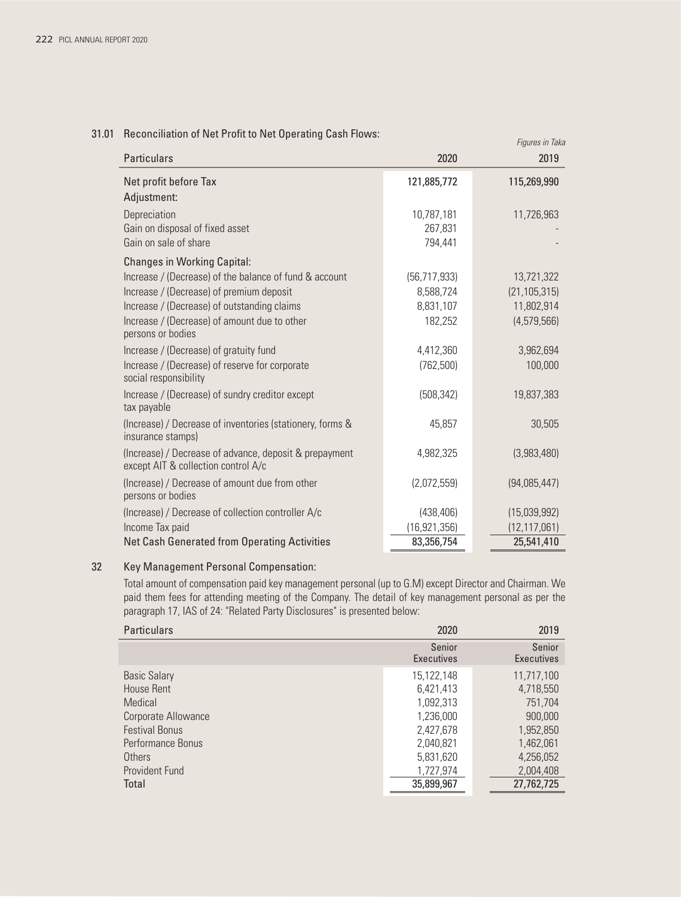# *Figures in Taka* 31.01 Reconciliation of Net Profit to Net Operating Cash Flows:

| <b>Particulars</b>                                                                            | 2020           | 2019           |
|-----------------------------------------------------------------------------------------------|----------------|----------------|
| Net profit before Tax                                                                         | 121,885,772    | 115,269,990    |
| Adjustment:                                                                                   |                |                |
| Depreciation                                                                                  | 10,787,181     | 11,726,963     |
| Gain on disposal of fixed asset                                                               | 267,831        |                |
| Gain on sale of share                                                                         | 794,441        |                |
| <b>Changes in Working Capital:</b>                                                            |                |                |
| Increase / (Decrease) of the balance of fund & account                                        | (56, 717, 933) | 13,721,322     |
| Increase / (Decrease) of premium deposit                                                      | 8,588,724      | (21, 105, 315) |
| Increase / (Decrease) of outstanding claims                                                   | 8,831,107      | 11,802,914     |
| Increase / (Decrease) of amount due to other<br>persons or bodies                             | 182,252        | (4,579,566)    |
| Increase / (Decrease) of gratuity fund                                                        | 4,412,360      | 3,962,694      |
| Increase / (Decrease) of reserve for corporate<br>social responsibility                       | (762, 500)     | 100,000        |
| Increase / (Decrease) of sundry creditor except<br>tax payable                                | (508, 342)     | 19,837,383     |
| (Increase) / Decrease of inventories (stationery, forms &<br>insurance stamps)                | 45,857         | 30,505         |
| (Increase) / Decrease of advance, deposit & prepayment<br>except AIT & collection control A/c | 4,982,325      | (3,983,480)    |
| (Increase) / Decrease of amount due from other<br>persons or bodies                           | (2,072,559)    | (94,085,447)   |
| (Increase) / Decrease of collection controller A/c                                            | (438, 406)     | (15,039,992)   |
| Income Tax paid                                                                               | (16, 921, 356) | (12, 117, 061) |
| <b>Net Cash Generated from Operating Activities</b>                                           | 83,356,754     | 25,541,410     |

### 32 Key Management Personal Compensation:

 Total amount of compensation paid key management personal (up to G.M) except Director and Chairman. We paid them fees for attending meeting of the Company. The detail of key management personal as per the paragraph 17, IAS of 24: "Related Party Disclosures" is presented below:

| <b>Particulars</b>    |  |                             | 2019                 |  |
|-----------------------|--|-----------------------------|----------------------|--|
|                       |  | Senior<br><b>Executives</b> | Senior<br>Executives |  |
| <b>Basic Salary</b>   |  | 15,122,148                  | 11,717,100           |  |
| House Rent            |  | 6,421,413                   | 4,718,550            |  |
| Medical               |  | 1,092,313                   | 751.704              |  |
| Corporate Allowance   |  | 1,236,000                   | 900,000              |  |
| <b>Festival Bonus</b> |  | 2,427,678                   | 1,952,850            |  |
| Performance Bonus     |  | 2,040,821                   | 1,462,061            |  |
| Others                |  | 5,831,620                   | 4,256,052            |  |
| Provident Fund        |  | 1,727,974                   | 2,004,408            |  |
| Total                 |  | 35,899,967                  | 27,762,725           |  |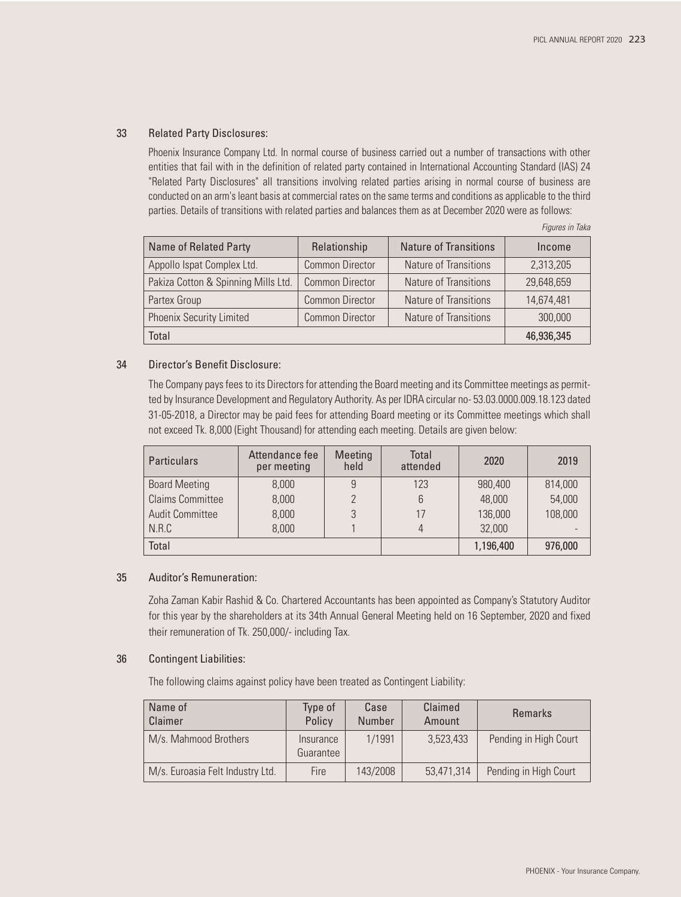### 33 Related Party Disclosures:

 Phoenix Insurance Company Ltd. In normal course of business carried out a number of transactions with other entities that fail with in the definition of related party contained in International Accounting Standard (IAS) 24 "Related Party Disclosures" all transitions involving related parties arising in normal course of business are conducted on an arm's leant basis at commercial rates on the same terms and conditions as applicable to the third parties. Details of transitions with related parties and balances them as at December 2020 were as follows:

| <b>Name of Related Party</b>        | Relationship           | <b>Nature of Transitions</b> | Income     |
|-------------------------------------|------------------------|------------------------------|------------|
| Appollo Ispat Complex Ltd.          | <b>Common Director</b> | Nature of Transitions        | 2,313,205  |
| Pakiza Cotton & Spinning Mills Ltd. | <b>Common Director</b> | Nature of Transitions        | 29,648,659 |
| Partex Group                        | <b>Common Director</b> | Nature of Transitions        | 14,674,481 |
| <b>Phoenix Security Limited</b>     | <b>Common Director</b> | Nature of Transitions        | 300,000    |
| Total                               |                        |                              | 46,936,345 |

*Figures in Taka*

#### 34 Director's Benefit Disclosure:

 The Company pays fees to its Directors for attending the Board meeting and its Committee meetings as permitted by Insurance Development and Regulatory Authority. As per IDRA circular no- 53.03.0000.009.18.123 dated 31-05-2018, a Director may be paid fees for attending Board meeting or its Committee meetings which shall not exceed Tk. 8,000 (Eight Thousand) for attending each meeting. Details are given below:

| <b>Particulars</b>      | Attendance fee<br>per meeting | Meeting<br>held | Total<br>attended | 2020      | 2019    |
|-------------------------|-------------------------------|-----------------|-------------------|-----------|---------|
| <b>Board Meeting</b>    | 8,000                         |                 | 123               | 980,400   | 814,000 |
| <b>Claims Committee</b> | 8,000                         |                 | 6                 | 48,000    | 54,000  |
| <b>Audit Committee</b>  | 8,000                         |                 | 17                | 136,000   | 108,000 |
| N.R.C                   | 8,000                         |                 | 4                 | 32,000    |         |
| Total                   |                               |                 |                   | 1,196,400 | 976,000 |

#### 35 Auditor's Remuneration:

 Zoha Zaman Kabir Rashid & Co. Chartered Accountants has been appointed as Company's Statutory Auditor for this year by the shareholders at its 34th Annual General Meeting held on 16 September, 2020 and fixed their remuneration of Tk. 250,000/- including Tax.

#### 36 Contingent Liabilities:

The following claims against policy have been treated as Contingent Liability:

| Name of<br>Claimer               | Type of<br>Policy      | Case<br><b>Number</b> | Claimed<br>Amount | <b>Remarks</b>        |
|----------------------------------|------------------------|-----------------------|-------------------|-----------------------|
| M/s. Mahmood Brothers            | Insurance<br>Guarantee | 1/1991                | 3,523,433         | Pending in High Court |
| M/s. Euroasia Felt Industry Ltd. | Fire                   | 143/2008              | 53,471,314        | Pending in High Court |